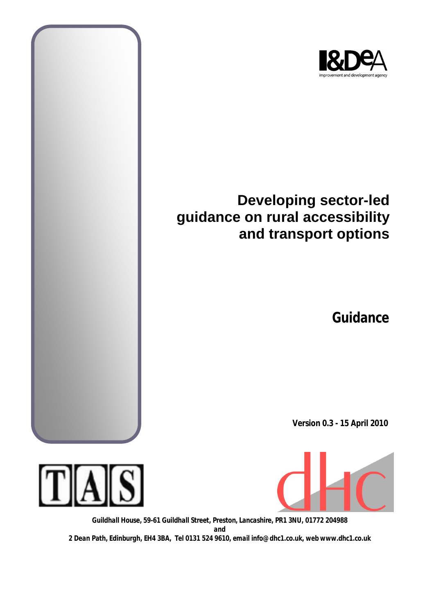

# **Developing sector-led guidance on rural accessibility and transport options**

**Guidance**

**Version 0.3 - 15 April 2010**





*Guildhall House, 59-61 Guildhall Street, Preston, Lancashire, PR1 3NU, 01772 204988 and 2 Dean Path, Edinburgh, EH4 3BA, Tel 0131 524 9610, email info@dhc1.co.uk, web www.dhc1.co.uk*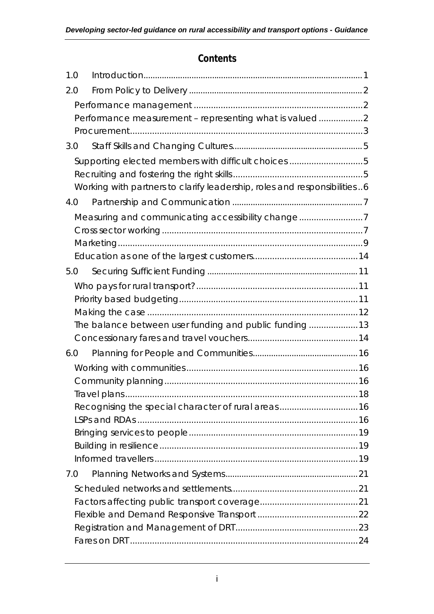## **Contents**

| 1.0 |                                                                          |  |
|-----|--------------------------------------------------------------------------|--|
| 2.0 |                                                                          |  |
|     |                                                                          |  |
|     | Performance measurement - representing what is valued2                   |  |
|     |                                                                          |  |
| 3.0 |                                                                          |  |
|     | Supporting elected members with difficult choices 5                      |  |
|     |                                                                          |  |
|     | Working with partners to clarify leadership, roles and responsibilities6 |  |
| 4.0 |                                                                          |  |
|     | Measuring and communicating accessibility change7                        |  |
|     |                                                                          |  |
|     |                                                                          |  |
|     |                                                                          |  |
| 5.0 |                                                                          |  |
|     |                                                                          |  |
|     |                                                                          |  |
|     |                                                                          |  |
|     | The balance between user funding and public funding 13                   |  |
|     |                                                                          |  |
| 6.0 |                                                                          |  |
|     |                                                                          |  |
|     |                                                                          |  |
|     |                                                                          |  |
|     | Recognising the special character of rural areas 16                      |  |
|     |                                                                          |  |
|     |                                                                          |  |
|     |                                                                          |  |
|     |                                                                          |  |
| 7.0 |                                                                          |  |
|     |                                                                          |  |
|     |                                                                          |  |
|     |                                                                          |  |
|     |                                                                          |  |
|     |                                                                          |  |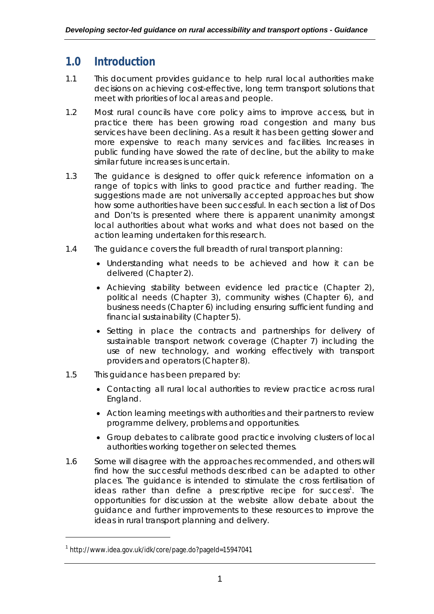## **1.0 Introduction**

- 1.1 This document provides guidance to help rural local authorities make decisions on achieving cost-effective, long term transport solutions that meet with priorities of local areas and people.
- 1.2 Most rural councils have core policy aims to improve access, but in practice there has been growing road congestion and many bus services have been declining. As a result it has been getting slower and more expensive to reach many services and facilities. Increases in public funding have slowed the rate of decline, but the ability to make similar future increases is uncertain.
- 1.3 The guidance is designed to offer quick reference information on a range of topics with links to good practice and further reading. The suggestions made are not universally accepted approaches but show how some authorities have been successful. In each section a list of *Dos* and *Don'ts* is presented where there is apparent unanimity amongst local authorities about what works and what does not based on the action learning undertaken for this research.
- 1.4 The guidance covers the full breadth of rural transport planning:
	- Understanding what needs to be achieved and how it can be delivered (Chapter 2).
	- Achieving stability between evidence led practice (Chapter 2), political needs (Chapter 3), community wishes (Chapter 6), and business needs (Chapter 6) including ensuring sufficient funding and financial sustainability (Chapter 5).
	- Setting in place the contracts and partnerships for delivery of sustainable transport network coverage (Chapter 7) including the use of new technology, and working effectively with transport providers and operators (Chapter 8).
- 1.5 This guidance has been prepared by:
	- Contacting all rural local authorities to review practice across rural England.
	- Action learning meetings with authorities and their partners to review programme delivery, problems and opportunities.
	- Group debates to calibrate good practice involving clusters of local authorities working together on selected themes.
- 1.6 Some will disagree with the approaches recommended, and others will find how the successful methods described can be adapted to other places. The guidance is intended to stimulate the cross fertilisation of ideas rather than define a prescriptive recipe for success<sup>1</sup>. The opportunities for discussion at the website allow debate about the guidance and further improvements to these resources to improve the ideas in rural transport planning and delivery.

<sup>1</sup> http://www.idea.gov.uk/idk/core/page.do?pageId=15947041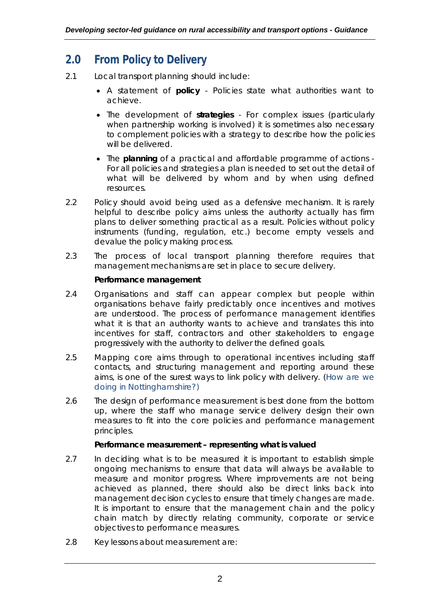## **2.0 From Policy to Delivery**

- 2.1 Local transport planning should include:
	- A statement of **policy**  Policies state what authorities want to achieve.
	- The development of **strategies** For complex issues (particularly when partnership working is involved) it is sometimes also necessary to complement policies with a strategy to describe how the policies will be delivered.
	- The **planning** of a practical and affordable programme of actions For all policies and strategies a plan is needed to set out the detail of what will be delivered by whom and by when using defined resources.
- 2.2 Policy should avoid being used as a defensive mechanism. It is rarely helpful to describe policy aims unless the authority actually has firm plans to deliver something practical as a result. Policies without policy instruments (funding, regulation, etc.) become empty vessels and devalue the policy making process.
- 2.3 The process of local transport planning therefore requires that management mechanisms are set in place to secure delivery.

## *Performance management*

- 2.4 Organisations and staff can appear complex but people within organisations behave fairly predictably once incentives and motives are understood. The process of performance management identifies what it is that an authority wants to achieve and translates this into incentives for staff, contractors and other stakeholders to engage progressively with the authority to deliver the defined goals.
- 2.5 Mapping core aims through to operational incentives including staff contacts, and structuring management and reporting around these aims, is one of the surest ways to link policy with delivery. (How are we doing in Nottinghamshire?)
- 2.6 The design of performance measurement is best done from the bottom up, where the staff who manage service delivery design their own measures to fit into the core policies and performance management principles.

### *Performance measurement – representing what is valued*

- 2.7 In deciding what is to be measured it is important to establish simple ongoing mechanisms to ensure that data will always be available to measure and monitor progress. Where improvements are not being achieved as planned, there should also be direct links back into management decision cycles to ensure that timely changes are made. It is important to ensure that the management chain and the policy chain match by directly relating community, corporate or service objectives to performance measures.
- 2.8 Key lessons about measurement are: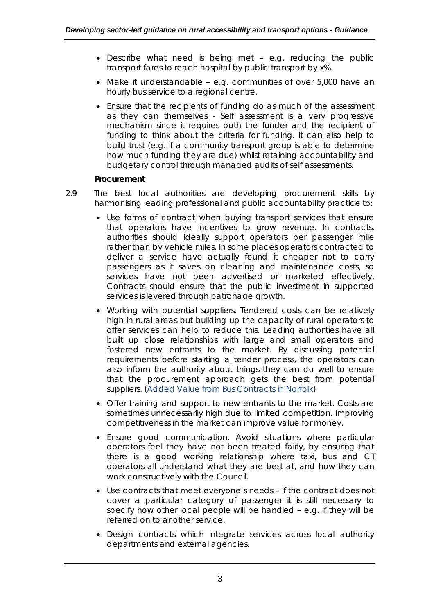- Describe what need is being met e.g. reducing the public transport fares to reach hospital by public transport by x%.
- Make it understandable e.g. communities of over 5,000 have an hourly bus service to a regional centre.
- Ensure that the recipients of funding do as much of the assessment as they can themselves - Self assessment is a very progressive mechanism since it requires both the funder and the recipient of funding to think about the criteria for funding. It can also help to build trust (e.g. if a community transport group is able to determine how much funding they are due) whilst retaining accountability and budgetary control through managed audits of self assessments.

## *Procurement*

- 2.9 The best local authorities are developing procurement skills by harmonising leading professional and public accountability practice to:
	- Use forms of contract when buying transport services that ensure that operators have incentives to grow revenue. In contracts, authorities should ideally support operators per passenger mile rather than by vehicle miles. In some places operators contracted to deliver a service have actually found it cheaper not to carry passengers as it saves on cleaning and maintenance costs, so services have not been advertised or marketed effectively. Contracts should ensure that the public investment in supported services is levered through patronage growth.
	- Working with potential suppliers. Tendered costs can be relatively high in rural areas but building up the capacity of rural operators to offer services can help to reduce this. Leading authorities have all built up close relationships with large and small operators and fostered new entrants to the market. By discussing potential requirements before starting a tender process, the operators can also inform the authority about things they can do well to ensure that the procurement approach gets the best from potential suppliers. (Added Value from Bus Contracts in Norfolk)
	- Offer training and support to new entrants to the market. Costs are sometimes unnecessarily high due to limited competition. Improving competitiveness in the market can improve value for money.
	- Ensure good communication. Avoid situations where particular operators feel they have not been treated fairly, by ensuring that there is a good working relationship where taxi, bus and CT operators all understand what they are best at, and how they can work constructively with the Council.
	- Use contracts that meet everyone's needs if the contract does not cover a particular category of passenger it is still necessary to specify how other local people will be handled – e.g. if they will be referred on to another service.
	- Design contracts which integrate services across local authority departments and external agencies.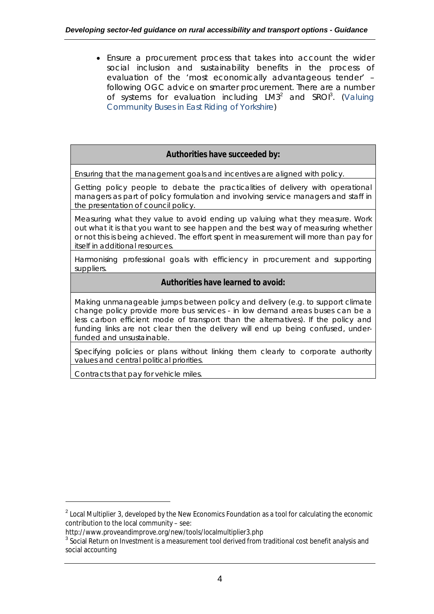Ensure a procurement process that takes into account the wider social inclusion and sustainability benefits in the process of evaluation of the 'most economically advantageous tender' – following OGC advice on smarter procurement. There are a number of systems for evaluation including  $LM3<sup>2</sup>$  and SROI<sup>3</sup>. (Valuing Community Buses in East Riding of Yorkshire)

## **Authorities have succeeded by:**

Ensuring that the management goals and incentives are aligned with policy.

Getting policy people to debate the practicalities of delivery with operational managers as part of policy formulation and involving service managers and staff in the presentation of council policy.

Measuring what they value to avoid ending up valuing what they measure. Work out what it is that you want to see happen and the best way of measuring whether or not this is being achieved. The effort spent in measurement will more than pay for itself in additional resources.

Harmonising professional goals with efficiency in procurement and supporting suppliers.

### **Authorities have learned to avoid:**

Making unmanageable jumps between policy and delivery (e.g. to support climate change policy provide more bus services - in low demand areas buses can be a less carbon efficient mode of transport than the alternatives). If the policy and funding links are not clear then the delivery will end up being confused, underfunded and unsustainable.

Specifying policies or plans without linking them clearly to corporate authority values and central political priorities.

Contracts that pay for vehicle miles.

 $^{\text{2}}$  Local Multiplier 3, developed by the New Economics Foundation as a tool for calculating the economic contribution to the local community – see:

http://www.proveandimprove.org/new/tools/localmultiplier3.php

 $^{\rm 3}$  Social Return on Investment is a measurement tool derived from traditional cost benefit analysis and social accounting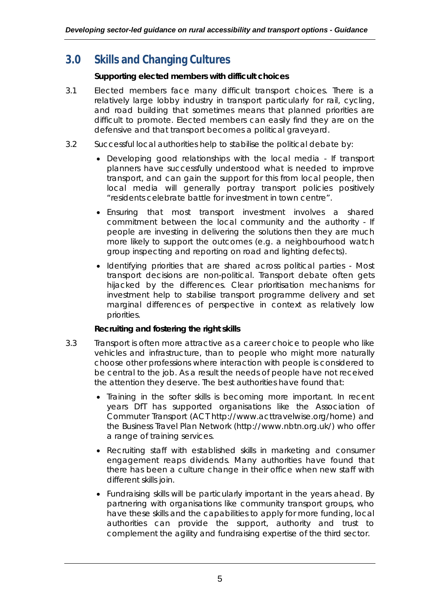## **3.0 Skills and Changing Cultures**

## *Supporting elected members with difficult choices*

- 3.1 Elected members face many difficult transport choices. There is a relatively large lobby industry in transport particularly for rail, cycling, and road building that sometimes means that planned priorities are difficult to promote. Elected members can easily find they are on the defensive and that transport becomes a political graveyard.
- 3.2 Successful local authorities help to stabilise the political debate by:
	- Developing good relationships with the local media If transport planners have successfully understood what is needed to improve transport, and can gain the support for this from local people, then local media will generally portray transport policies positively "residents celebrate battle for investment in town centre".
	- Ensuring that most transport investment involves a shared commitment between the local community and the authority - If people are investing in delivering the solutions then they are much more likely to support the outcomes (e.g. a neighbourhood watch group inspecting and reporting on road and lighting defects).
	- Identifying priorities that are shared across political parties Most transport decisions are non-political. Transport debate often gets hijacked by the differences. Clear prioritisation mechanisms for investment help to stabilise transport programme delivery and set marginal differences of perspective in context as relatively low priorities.

## *Recruiting and fostering the right skills*

- 3.3 Transport is often more attractive as a career choice to people who like vehicles and infrastructure, than to people who might more naturally choose other professions where interaction with people is considered to be central to the job. As a result the needs of people have not received the attention they deserve. The best authorities have found that:
	- Training in the softer skills is becoming more important. In recent years DfT has supported organisations like the Association of Commuter Transport (ACT http://www.acttravelwise.org/home) and the Business Travel Plan Network (http://www.nbtn.org.uk/) who offer a range of training services.
	- Recruiting staff with established skills in marketing and consumer engagement reaps dividends. Many authorities have found that there has been a culture change in their office when new staff with different skills join.
	- Fundraising skills will be particularly important in the years ahead. By partnering with organisations like community transport groups, who have these skills and the capabilities to apply for more funding, local authorities can provide the support, authority and trust to complement the agility and fundraising expertise of the third sector.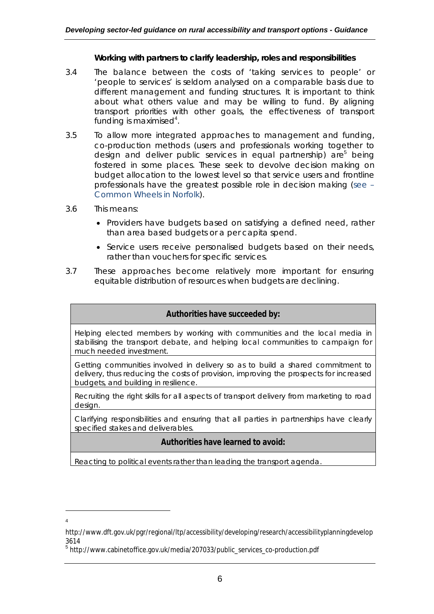#### *Working with partners to clarify leadership, roles and responsibilities*

- 3.4 The balance between the costs of 'taking services to people' or 'people to services' is seldom analysed on a comparable basis due to different management and funding structures. It is important to think about what others value and may be willing to fund. By aligning transport priorities with other goals, the effectiveness of transport funding is maximised $4$ .
- 3.5 To allow more integrated approaches to management and funding, co-production methods (users and professionals working together to design and deliver public services in equal partnership) are<sup>5</sup> being fostered in some places. These seek to devolve decision making on budget allocation to the lowest level so that service users and frontline professionals have the greatest possible role in decision making (see – Common Wheels in Norfolk).
- 3.6 This means:
	- Providers have budgets based on satisfying a defined need, rather than area based budgets or a per capita spend.
	- Service users receive personalised budgets based on their needs, rather than vouchers for specific services.
- 3.7 These approaches become relatively more important for ensuring equitable distribution of resources when budgets are declining.

#### **Authorities have succeeded by:**

Helping elected members by working with communities and the local media in stabilising the transport debate, and helping local communities to campaign for much needed investment.

Getting communities involved in delivery so as to build a shared commitment to delivery, thus reducing the costs of provision, improving the prospects for increased budgets, and building in resilience.

Recruiting the right skills for all aspects of transport delivery from marketing to road design.

Clarifying responsibilities and ensuring that all parties in partnerships have clearly specified stakes and deliverables.

### **Authorities have learned to avoid:**

Reacting to political events rather than leading the transport agenda.

http://www.dft.gov.uk/pgr/regional/ltp/accessibility/developing/research/accessibilityplanningdevelop 3614

<sup>&</sup>lt;sup>5</sup> http://www.cabinetoffice.gov.uk/media/207033/public\_services\_co-production.pdf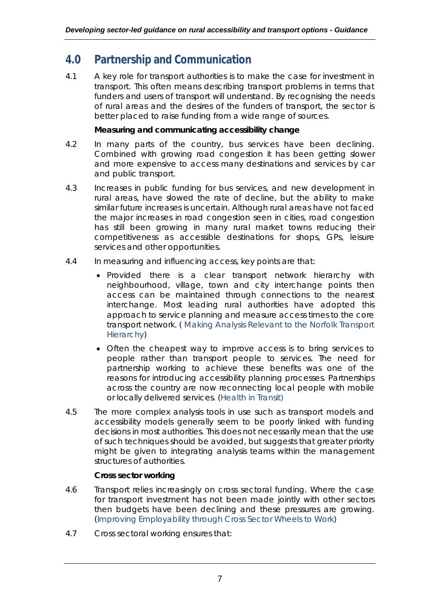## **4.0 Partnership and Communication**

4.1 A key role for transport authorities is to make the case for investment in transport. This often means describing transport problems in terms that funders and users of transport will understand. By recognising the needs of rural areas and the desires of the funders of transport, the sector is better placed to raise funding from a wide range of sources.

## *Measuring and communicating accessibility change*

- 4.2 In many parts of the country, bus services have been declining. Combined with growing road congestion it has been getting slower and more expensive to access many destinations and services by car and public transport.
- 4.3 Increases in public funding for bus services, and new development in rural areas, have slowed the rate of decline, but the ability to make similar future increases is uncertain. Although rural areas have not faced the major increases in road congestion seen in cities, road congestion has still been growing in many rural market towns reducing their competitiveness as accessible destinations for shops, GPs, leisure services and other opportunities.
- 4.4 In measuring and influencing access, key points are that:
	- Provided there is a clear transport network hierarchy with neighbourhood, village, town and city interchange points then access can be maintained through connections to the nearest interchange. Most leading rural authorities have adopted this approach to service planning and measure access times to the core transport network. ( Making Analysis Relevant to the Norfolk Transport Hierarchy)
	- Often the cheapest way to improve access is to bring services to people rather than transport people to services. The need for partnership working to achieve these benefits was one of the reasons for introducing accessibility planning processes. Partnerships across the country are now reconnecting local people with mobile or locally delivered services. (Health in Transit)
- 4.5 The more complex analysis tools in use such as transport models and accessibility models generally seem to be poorly linked with funding decisions in most authorities. This does not necessarily mean that the use of such techniques should be avoided, but suggests that greater priority might be given to integrating analysis teams within the management structures of authorities.

## *Cross sector working*

- 4.6 Transport relies increasingly on cross sectoral funding. Where the case for transport investment has not been made jointly with other sectors then budgets have been declining and these pressures are growing. (Improving Employability through Cross Sector Wheels to Work)
- 4.7 Cross sectoral working ensures that: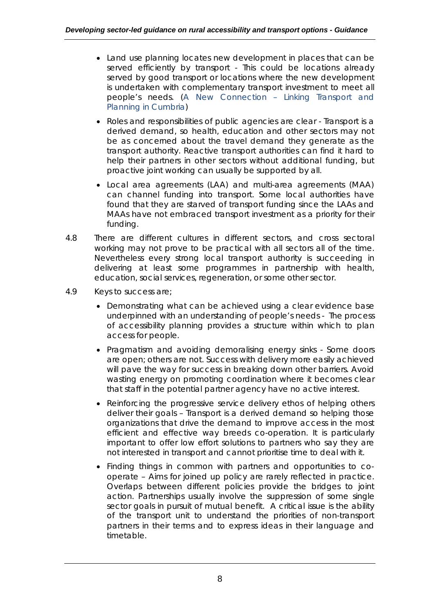- Land use planning locates new development in places that can be served efficiently by transport - This could be locations already served by good transport or locations where the new development is undertaken with complementary transport investment to meet all people's needs. (A New Connection – Linking Transport and Planning in Cumbria)
- Roles and responsibilities of public agencies are clear Transport is a derived demand, so health, education and other sectors may not be as concerned about the travel demand they generate as the transport authority. Reactive transport authorities can find it hard to help their partners in other sectors without additional funding, but proactive joint working can usually be supported by all.
- Local area agreements (LAA) and multi-area agreements (MAA) can channel funding into transport. Some local authorities have found that they are starved of transport funding since the LAAs and MAAs have not embraced transport investment as a priority for their funding.
- 4.8 There are different cultures in different sectors, and cross sectoral working may not prove to be practical with all sectors all of the time. Nevertheless every strong local transport authority is succeeding in delivering at least some programmes in partnership with health, education, social services, regeneration, or some other sector.
- 4.9 Keys to success are;
	- Demonstrating what can be achieved using a clear evidence base underpinned with an understanding of people's needs - The process of accessibility planning provides a structure within which to plan access for people.
	- Pragmatism and avoiding demoralising energy sinks Some doors are open; others are not. Success with delivery more easily achieved will pave the way for success in breaking down other barriers. Avoid wasting energy on promoting coordination where it becomes clear that staff in the potential partner agency have no active interest.
	- Reinforcing the progressive service delivery ethos of helping others deliver their goals – Transport is a derived demand so helping those organizations that drive the demand to improve access in the most efficient and effective way breeds co-operation. It is particularly important to offer low effort solutions to partners who say they are not interested in transport and cannot prioritise time to deal with it.
	- Finding things in common with partners and opportunities to cooperate – Aims for joined up policy are rarely reflected in practice. Overlaps between different policies provide the bridges to joint action. Partnerships usually involve the suppression of some single sector goals in pursuit of mutual benefit. A critical issue is the ability of the transport unit to understand the priorities of non-transport partners in their terms and to express ideas in their language and timetable.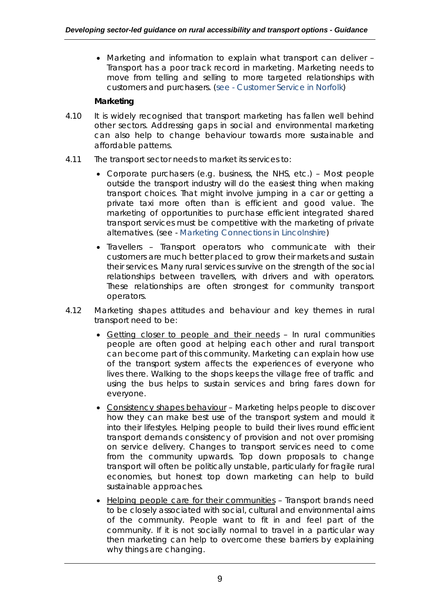Marketing and information to explain what transport can deliver – Transport has a poor track record in marketing. Marketing needs to move from telling and selling to more targeted relationships with customers and purchasers. (see - Customer Service in Norfolk)

## *Marketing*

- 4.10 It is widely recognised that transport marketing has fallen well behind other sectors. Addressing gaps in social and environmental marketing can also help to change behaviour towards more sustainable and affordable patterns.
- 4.11 The transport sector needs to market its services to:
	- Corporate purchasers (e.g. business, the NHS, etc.) Most people outside the transport industry will do the easiest thing when making transport choices. That might involve jumping in a car or getting a private taxi more often than is efficient and good value. The marketing of opportunities to purchase efficient integrated shared transport services must be competitive with the marketing of private alternatives. (see - Marketing Connections in Lincolnshire)
	- $\bullet$  Travellers Transport operators who communicate with their customers are much better placed to grow their markets and sustain their services. Many rural services survive on the strength of the social relationships between travellers, with drivers and with operators. These relationships are often strongest for community transport operators.
- 4.12 Marketing shapes attitudes and behaviour and key themes in rural transport need to be:
	- Getting closer to people and their needs In rural communities people are often good at helping each other and rural transport can become part of this community. Marketing can explain how use of the transport system affects the experiences of everyone who lives there. Walking to the shops keeps the village free of traffic and using the bus helps to sustain services and bring fares down for everyone.
	- Consistency shapes behaviour Marketing helps people to discover how they can make best use of the transport system and mould it into their lifestyles. Helping people to build their lives round efficient transport demands consistency of provision and not over promising on service delivery. Changes to transport services need to come from the community upwards. Top down proposals to change transport will often be politically unstable, particularly for fragile rural economies, but honest top down marketing can help to build sustainable approaches.
	- Helping people care for their communities Transport brands need to be closely associated with social, cultural and environmental aims of the community. People want to fit in and feel part of the community. If it is not socially normal to travel in a particular way then marketing can help to overcome these barriers by explaining why things are changing.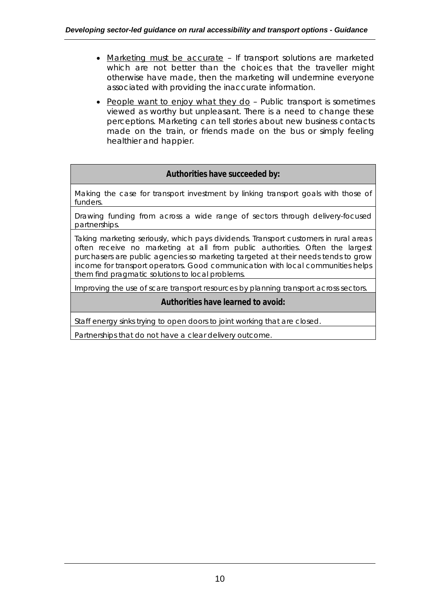- Marketing must be accurate If transport solutions are marketed which are not better than the choices that the traveller might otherwise have made, then the marketing will undermine everyone associated with providing the inaccurate information.
- People want to enjoy what they  $d_0$  Public transport is sometimes viewed as worthy but unpleasant. There is a need to change these perceptions. Marketing can tell stories about new business contacts made on the train, or friends made on the bus or simply feeling healthier and happier.

## **Authorities have succeeded by:**

Making the case for transport investment by linking transport goals with those of funders.

Drawing funding from across a wide range of sectors through delivery-focused partnerships.

Taking marketing seriously, which pays dividends. Transport customers in rural areas often receive no marketing at all from public authorities. Often the largest purchasers are public agencies so marketing targeted at their needs tends to grow income for transport operators. Good communication with local communities helps them find pragmatic solutions to local problems.

Improving the use of scare transport resources by planning transport across sectors.

### **Authorities have learned to avoid:**

Staff energy sinks trying to open doors to joint working that are closed.

Partnerships that do not have a clear delivery outcome.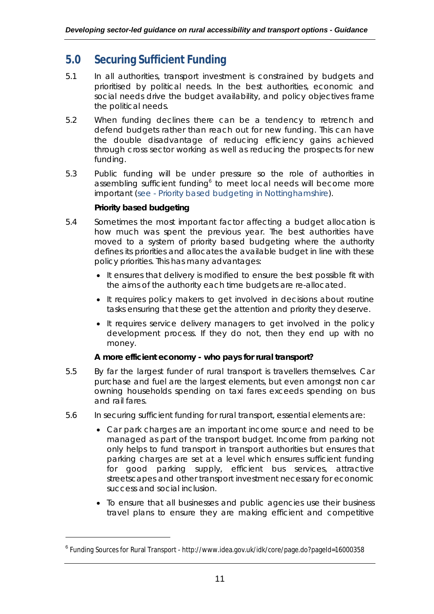## **5.0 Securing Sufficient Funding**

- 5.1 In all authorities, transport investment is constrained by budgets and prioritised by political needs. In the best authorities, economic and social needs drive the budget availability, and policy objectives frame the political needs.
- 5.2 When funding declines there can be a tendency to retrench and defend budgets rather than reach out for new funding. This can have the double disadvantage of reducing efficiency gains achieved through cross sector working as well as reducing the prospects for new funding.
- 5.3 Public funding will be under pressure so the role of authorities in assembling sufficient funding<sup>6</sup> to meet local needs will become more important (see - Priority based budgeting in Nottinghamshire).

## *Priority based budgeting*

 $\overline{a}$ 

- 5.4 Sometimes the most important factor affecting a budget allocation is how much was spent the previous year. The best authorities have moved to a system of priority based budgeting where the authority defines its priorities and allocates the available budget in line with these policy priorities. This has many advantages:
	- It ensures that delivery is modified to ensure the best possible fit with the aims of the authority each time budgets are re-allocated.
	- It requires policy makers to get involved in decisions about routine tasks ensuring that these get the attention and priority they deserve.
	- It requires service delivery managers to get involved in the policy development process. If they do not, then they end up with no money.

## *A more efficient economy - who pays for rural transport?*

- 5.5 By far the largest funder of rural transport is travellers themselves. Car purchase and fuel are the largest elements, but even amongst non car owning households spending on taxi fares exceeds spending on bus and rail fares.
- 5.6 In securing sufficient funding for rural transport, essential elements are:
	- Car park charges are an important income source and need to be managed as part of the transport budget. Income from parking not only helps to fund transport in transport authorities but ensures that parking charges are set at a level which ensures sufficient funding for good parking supply, efficient bus services, attractive streetscapes and other transport investment necessary for economic success and social inclusion.
	- To ensure that all businesses and public agencies use their business travel plans to ensure they are making efficient and competitive

<sup>6</sup> Funding Sources for Rural Transport - http://www.idea.gov.uk/idk/core/page.do?pageId=16000358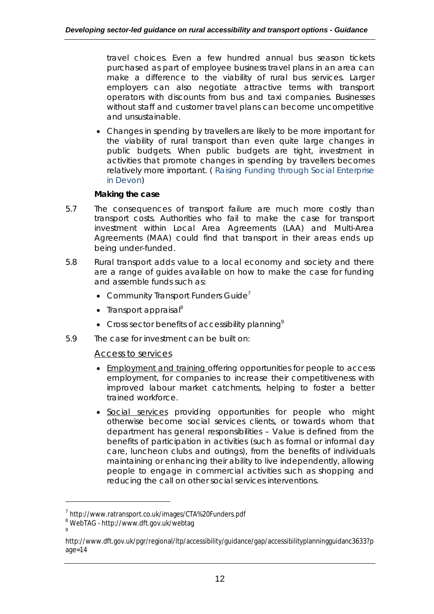travel choices. Even a few hundred annual bus season tickets purchased as part of employee business travel plans in an area can make a difference to the viability of rural bus services. Larger employers can also negotiate attractive terms with transport operators with discounts from bus and taxi companies. Businesses without staff and customer travel plans can become uncompetitive and unsustainable.

 Changes in spending by travellers are likely to be more important for the viability of rural transport than even quite large changes in public budgets. When public budgets are tight, investment in activities that promote changes in spending by travellers becomes relatively more important. ( Raising Funding through Social Enterprise in Devon)

## *Making the case*

- 5.7 The consequences of transport failure are much more costly than transport costs. Authorities who fail to make the case for transport investment within Local Area Agreements (LAA) and Multi-Area Agreements (MAA) could find that transport in their areas ends up being under-funded.
- 5.8 Rural transport adds value to a local economy and society and there are a range of guides available on how to make the case for funding and assemble funds such as:
	- **Community Transport Funders Guide<sup>7</sup>**
	- $\bullet$  Transport appraisal<sup>8</sup>
	- Cross sector benefits of accessibility planning<sup>9</sup>
- 5.9 The case for investment can be built on:

## *Access to services*

- Employment and training offering opportunities for people to access employment, for companies to increase their competitiveness with improved labour market catchments, helping to foster a better trained workforce.
- Social services providing opportunities for people who might otherwise become social services clients, or towards whom that department has general responsibilities – Value is defined from the benefits of participation in activities (such as formal or informal day care, luncheon clubs and outings), from the benefits of individuals maintaining or enhancing their ability to live independently, allowing people to engage in commercial activities such as shopping and reducing the call on other social services interventions.

<sup>&</sup>lt;sup>7</sup>http://www.ratransport.co.uk/images/CTA%20Funders.pdf

<sup>8</sup> WebTAG - http://www.dft.gov.uk/webtag 9

http://www.dft.gov.uk/pgr/regional/ltp/accessibility/guidance/gap/accessibilityplanningguidanc3633?p age=14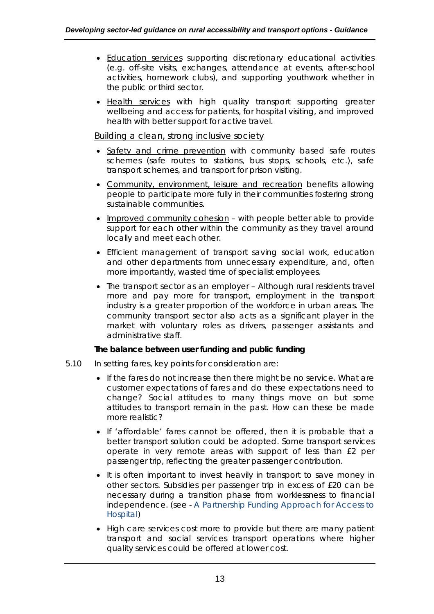- Education services supporting discretionary educational activities (e.g. off-site visits, exchanges, attendance at events, after-school activities, homework clubs), and supporting youthwork whether in the public or third sector.
- Health services with high quality transport supporting greater wellbeing and access for patients, for hospital visiting, and improved health with better support for active travel.

## *Building a clean, strong inclusive society*

- Safety and crime prevention with community based safe routes schemes (safe routes to stations, bus stops, schools, etc.), safe transport schemes, and transport for prison visiting.
- Community, environment, leisure and recreation benefits allowing people to participate more fully in their communities fostering strong sustainable communities.
- Improved community cohesion with people better able to provide support for each other within the community as they travel around locally and meet each other.
- Efficient management of transport saving social work, education and other departments from unnecessary expenditure, and, often more importantly, wasted time of specialist employees.
- The transport sector as an employer Although rural residents travel more and pay more for transport, employment in the transport industry is a greater proportion of the workforce in urban areas. The community transport sector also acts as a significant player in the market with voluntary roles as drivers, passenger assistants and administrative staff.

### *The balance between user funding and public funding*

- 5.10 In setting fares, key points for consideration are:
	- If the fares do not increase then there might be no service. What are customer expectations of fares and do these expectations need to change? Social attitudes to many things move on but some attitudes to transport remain in the past. How can these be made more realistic?
	- If 'affordable' fares cannot be offered, then it is probable that a better transport solution could be adopted. Some transport services operate in very remote areas with support of less than £2 per passenger trip, reflecting the greater passenger contribution.
	- It is often important to invest heavily in transport to save money in other sectors. Subsidies per passenger trip in excess of £20 can be necessary during a transition phase from worklessness to financial independence. (see - A Partnership Funding Approach for Access to Hospital)
	- High care services cost more to provide but there are many patient transport and social services transport operations where higher quality services could be offered at lower cost.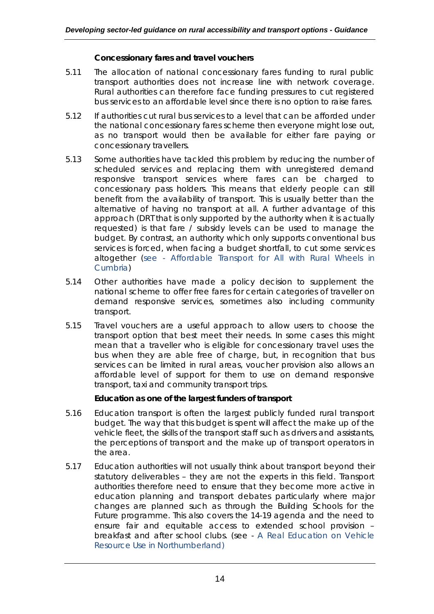### *Concessionary fares and travel vouchers*

- 5.11 The allocation of national concessionary fares funding to rural public transport authorities does not increase line with network coverage. Rural authorities can therefore face funding pressures to cut registered bus services to an affordable level since there is no option to raise fares.
- 5.12 If authorities cut rural bus services to a level that can be afforded under the national concessionary fares scheme then everyone might lose out, as no transport would then be available for either fare paying or concessionary travellers.
- 5.13 Some authorities have tackled this problem by reducing the number of scheduled services and replacing them with unregistered demand responsive transport services where fares can be charged to concessionary pass holders. This means that elderly people can still benefit from the availability of transport. This is usually better than the alternative of having no transport at all. A further advantage of this approach (DRT that is only supported by the authority when it is actually requested) is that fare / subsidy levels can be used to manage the budget. By contrast, an authority which only supports conventional bus services is forced, when facing a budget shortfall, to cut some services altogether (see - Affordable Transport for All with Rural Wheels in Cumbria)
- 5.14 Other authorities have made a policy decision to supplement the national scheme to offer free fares for certain categories of traveller on demand responsive services, sometimes also including community transport.
- 5.15 Travel vouchers are a useful approach to allow users to choose the transport option that best meet their needs. In some cases this might mean that a traveller who is eligible for concessionary travel uses the bus when they are able free of charge, but, in recognition that bus services can be limited in rural areas, voucher provision also allows an affordable level of support for them to use on demand responsive transport, taxi and community transport trips.

### *Education as one of the largest funders of transport*

- 5.16 Education transport is often the largest publicly funded rural transport budget. The way that this budget is spent will affect the make up of the vehicle fleet, the skills of the transport staff such as drivers and assistants, the perceptions of transport and the make up of transport operators in the area.
- 5.17 Education authorities will not usually think about transport beyond their statutory deliverables – they are not the experts in this field. Transport authorities therefore need to ensure that they become more active in education planning and transport debates particularly where major changes are planned such as through the Building Schools for the Future programme. This also covers the 14-19 agenda and the need to ensure fair and equitable access to extended school provision – breakfast and after school clubs. (see - A Real Education on Vehicle Resource Use in Northumberland)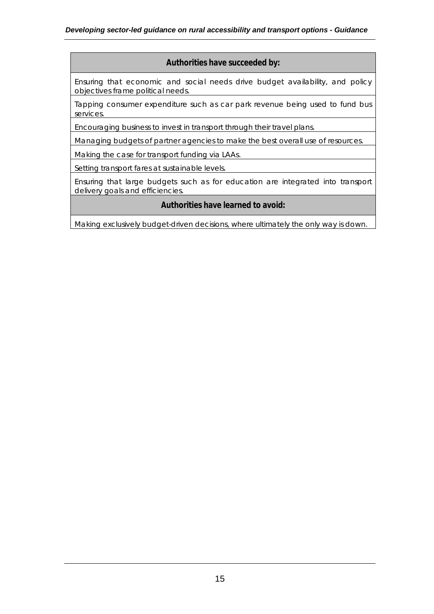#### **Authorities have succeeded by:**

Ensuring that economic and social needs drive budget availability, and policy objectives frame political needs.

Tapping consumer expenditure such as car park revenue being used to fund bus services.

Encouraging business to invest in transport through their travel plans.

Managing budgets of partner agencies to make the best overall use of resources.

Making the case for transport funding via LAAs.

Setting transport fares at sustainable levels.

Ensuring that large budgets such as for education are integrated into transport delivery goals and efficiencies.

### **Authorities have learned to avoid:**

Making exclusively budget-driven decisions, where ultimately the only way is down.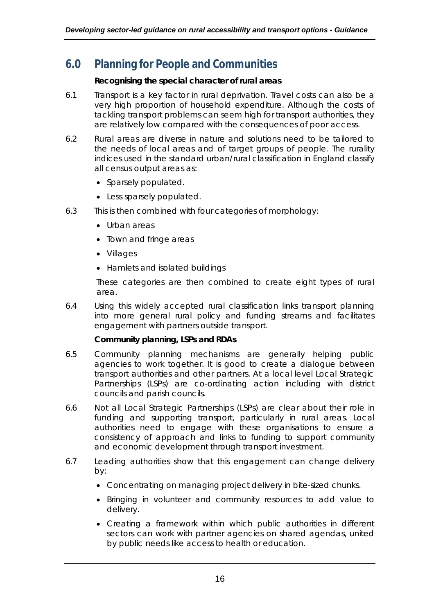## **6.0 Planning for People and Communities**

### *Recognising the special character of rural areas*

- 6.1 Transport is a key factor in rural deprivation. Travel costs can also be a very high proportion of household expenditure. Although the costs of tackling transport problems can seem high for transport authorities, they are relatively low compared with the consequences of poor access.
- 6.2 Rural areas are diverse in nature and solutions need to be tailored to the needs of local areas and of target groups of people. The rurality indices used in the standard urban/rural classification in England classify all census output areas as:
	- Sparsely populated.
	- Less sparsely populated.
- 6.3 This is then combined with four categories of morphology:
	- Urban areas
	- Town and fringe areas
	- Villages
	- Hamlets and isolated buildings

These categories are then combined to create eight types of rural area.

6.4 Using this widely accepted rural classification links transport planning into more general rural policy and funding streams and facilitates engagement with partners outside transport.

### *Community planning, LSPs and RDAs*

- 6.5 Community planning mechanisms are generally helping public agencies to work together. It is good to create a dialogue between transport authorities and other partners. At a local level Local Strategic Partnerships (LSPs) are co-ordinating action including with district councils and parish councils.
- 6.6 Not all Local Strategic Partnerships (LSPs) are clear about their role in funding and supporting transport, particularly in rural areas. Local authorities need to engage with these organisations to ensure a consistency of approach and links to funding to support community and economic development through transport investment.
- 6.7 Leading authorities show that this engagement can change delivery by:
	- Concentrating on managing project delivery in bite-sized chunks.
	- Bringing in volunteer and community resources to add value to delivery.
	- Creating a framework within which public authorities in different sectors can work with partner agencies on shared agendas, united by public needs like access to health or education.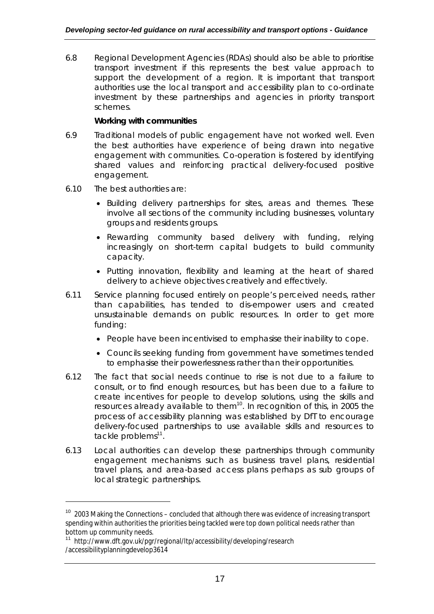6.8 Regional Development Agencies (RDAs) should also be able to prioritise transport investment if this represents the best value approach to support the development of a region. It is important that transport authorities use the local transport and accessibility plan to co-ordinate investment by these partnerships and agencies in priority transport schemes.

### *Working with communities*

- 6.9 Traditional models of public engagement have not worked well. Even the best authorities have experience of being drawn into negative engagement with communities. Co-operation is fostered by identifying shared values and reinforcing practical delivery-focused positive engagement.
- 6.10 The best authorities are:

- Building delivery partnerships for sites, areas and themes. These involve all sections of the community including businesses, voluntary groups and residents groups.
- Rewarding community based delivery with funding, relying increasingly on short-term capital budgets to build community capacity.
- Putting innovation, flexibility and learning at the heart of shared delivery to achieve objectives creatively and effectively.
- 6.11 Service planning focused entirely on people's perceived needs, rather than capabilities, has tended to dis-empower users and created unsustainable demands on public resources. In order to get more funding:
	- People have been incentivised to emphasise their inability to cope.
	- Councils seeking funding from government have sometimes tended to emphasise their powerlessness rather than their opportunities.
- 6.12 The fact that social needs continue to rise is not due to a failure to consult, or to find enough resources, but has been due to a failure to create incentives for people to develop solutions, using the skills and resources already available to them<sup>10</sup>. In recognition of this, in 2005 the process of accessibility planning was established by DfT to encourage delivery-focused partnerships to use available skills and resources to tackle problems<sup>11</sup>.
- 6.13 Local authorities can develop these partnerships through community engagement mechanisms such as business travel plans, residential travel plans, and area-based access plans perhaps as sub groups of local strategic partnerships.

<sup>&</sup>lt;sup>10</sup> 2003 Making the Connections – concluded that although there was evidence of increasing transport spending within authorities the priorities being tackled were top down political needs rather than bottom up community needs.

<sup>&</sup>lt;sup>11</sup> http://www.dft.gov.uk/pgr/regional/ltp/accessibility/developing/research /accessibilityplanningdevelop3614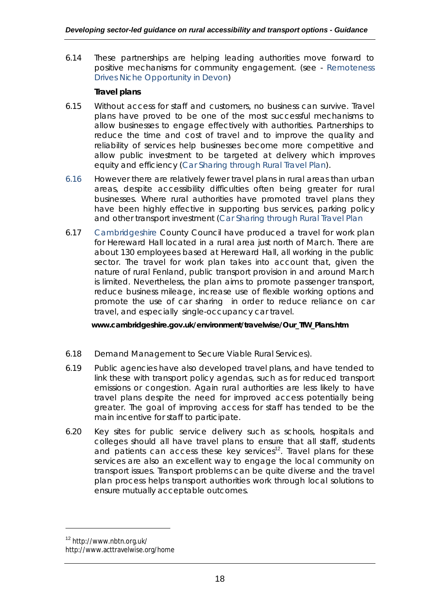6.14 These partnerships are helping leading authorities move forward to positive mechanisms for community engagement. (see - Remoteness Drives Niche Opportunity in Devon)

## *Travel plans*

- 6.15 Without access for staff and customers, no business can survive. Travel plans have proved to be one of the most successful mechanisms to allow businesses to engage effectively with authorities. Partnerships to reduce the time and cost of travel and to improve the quality and reliability of services help businesses become more competitive and allow public investment to be targeted at delivery which improves equity and efficiency (Car Sharing through Rural Travel Plan).
- 6.16 However there are relatively fewer travel plans in rural areas than urban areas, despite accessibility difficulties often being greater for rural businesses. Where rural authorities have promoted travel plans they have been highly effective in supporting bus services, parking policy and other transport investment (Car Sharing through Rural Travel Plan
- 6.17 Cambridgeshire County Council have produced a travel for work plan for Hereward Hall located in a rural area just north of March. There are about 130 employees based at Hereward Hall, all working in the public sector. The travel for work plan takes into account that, given the nature of rural Fenland, public transport provision in and around March is limited. Nevertheless, the plan aims to promote passenger transport, reduce business mileage, increase use of flexible working options and promote the use of car sharing in order to reduce reliance on car travel, and especially single-occupancy car travel.

**www.cambridgeshire.gov.uk/environment/travelwise/Our\_TfW\_Plans.htm**

- 6.18 Demand Management to Secure Viable Rural Services).
- 6.19 Public agencies have also developed travel plans, and have tended to link these with transport policy agendas, such as for reduced transport emissions or congestion. Again rural authorities are less likely to have travel plans despite the need for improved access potentially being greater. The goal of improving access for staff has tended to be the main incentive for staff to participate.
- 6.20 Key sites for public service delivery such as schools, hospitals and colleges should all have travel plans to ensure that all staff, students and patients can access these key services<sup>12</sup>. Travel plans for these services are also an excellent way to engage the local community on transport issues. Transport problems can be quite diverse and the travel plan process helps transport authorities work through local solutions to ensure mutually acceptable outcomes.

<sup>12</sup> http://www.nbtn.org.uk/

http://www.acttravelwise.org/home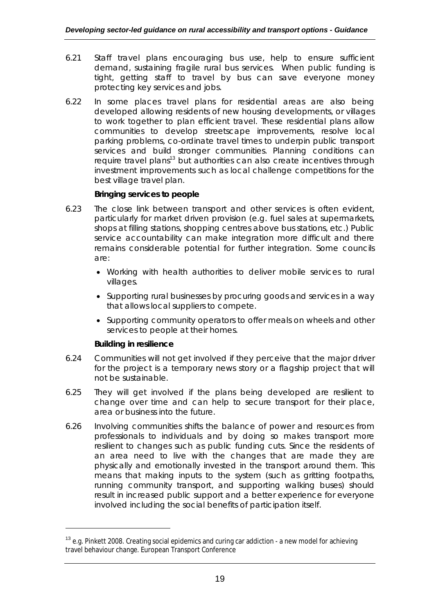- 6.21 Staff travel plans encouraging bus use, help to ensure sufficient demand, sustaining fragile rural bus services. When public funding is tight, getting staff to travel by bus can save everyone money protecting key services and jobs.
- 6.22 In some places travel plans for residential areas are also being developed allowing residents of new housing developments, or villages to work together to plan efficient travel. These residential plans allow communities to develop streetscape improvements, resolve local parking problems, co-ordinate travel times to underpin public transport services and build stronger communities. Planning conditions can require travel plans<sup>13</sup> but authorities can also create incentives through investment improvements such as local challenge competitions for the best village travel plan.

## *Bringing services to people*

- 6.23 The close link between transport and other services is often evident, particularly for market driven provision (e.g. fuel sales at supermarkets, shops at filling stations, shopping centres above bus stations, etc.) Public service accountability can make integration more difficult and there remains considerable potential for further integration. Some councils are:
	- Working with health authorities to deliver mobile services to rural villages.
	- Supporting rural businesses by procuring goods and services in a way that allows local suppliers to compete.
	- Supporting community operators to offer meals on wheels and other services to people at their homes.

### *Building in resilience*

- 6.24 Communities will not get involved if they perceive that the major driver for the project is a temporary news story or a flagship project that will not be sustainable.
- 6.25 They will get involved if the plans being developed are resilient to change over time and can help to secure transport for their place, area or business into the future.
- 6.26 Involving communities shifts the balance of power and resources from professionals to individuals and by doing so makes transport more resilient to changes such as public funding cuts. Since the residents of an area need to live with the changes that are made they are physically and emotionally invested in the transport around them. This means that making inputs to the system (such as gritting footpaths, running community transport, and supporting walking buses) should result in increased public support and a better experience for everyone involved including the social benefits of participation itself.

<sup>&</sup>lt;sup>13</sup> e.g. Pinkett 2008. Creating social epidemics and curing car addiction - a new model for achieving travel behaviour change. European Transport Conference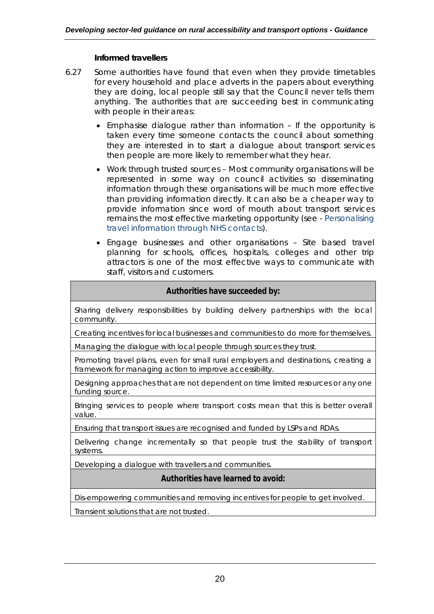### *Informed travellers*

- 6.27 Some authorities have found that even when they provide timetables for every household and place adverts in the papers about everything they are doing, local people still say that the Council never tells them anything. The authorities that are succeeding best in communicating with people in their areas:
	- Emphasise dialogue rather than information If the opportunity is taken every time someone contacts the council about something they are interested in to start a dialogue about transport services then people are more likely to remember what they hear.
	- Work through trusted sources Most community organisations will be represented in some way on council activities so disseminating information through these organisations will be much more effective than providing information directly. It can also be a cheaper way to provide information since word of mouth about transport services remains the most effective marketing opportunity (see - Personalising travel information through NHS contacts).
	- Engage businesses and other organisations Site based travel planning for schools, offices, hospitals, colleges and other trip attractors is one of the most effective ways to communicate with staff, visitors and customers.

## **Authorities have succeeded by:**

Sharing delivery responsibilities by building delivery partnerships with the local community.

Creating incentives for local businesses and communities to do more for themselves.

Managing the dialogue with local people through sources they trust.

Promoting travel plans, even for small rural employers and destinations, creating a framework for managing action to improve accessibility.

Designing approaches that are not dependent on time limited resources or any one funding source.

Bringing services to people where transport costs mean that this is better overall value.

Ensuring that transport issues are recognised and funded by LSPs and RDAs.

Delivering change incrementally so that people trust the stability of transport systems.

Developing a dialogue with travellers and communities.

### **Authorities have learned to avoid:**

Dis-empowering communities and removing incentives for people to get involved.

Transient solutions that are not trusted.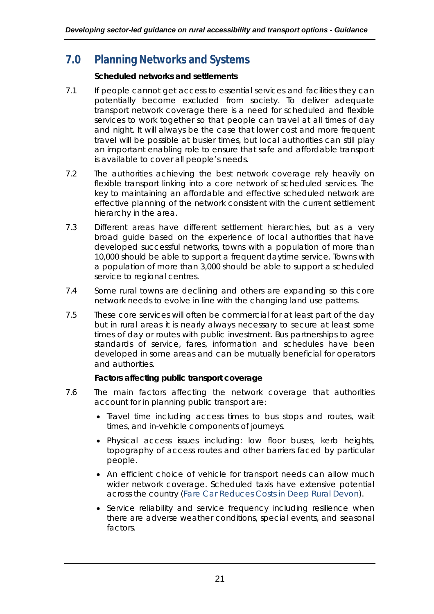## **7.0 Planning Networks and Systems**

## *Scheduled networks and settlements*

- 7.1 If people cannot get access to essential services and facilities they can potentially become excluded from society. To deliver adequate transport network coverage there is a need for scheduled and flexible services to work together so that people can travel at all times of day and night. It will always be the case that lower cost and more frequent travel will be possible at busier times, but local authorities can still play an important enabling role to ensure that safe and affordable transport is available to cover all people's needs.
- 7.2 The authorities achieving the best network coverage rely heavily on flexible transport linking into a core network of scheduled services. The key to maintaining an affordable and effective scheduled network are effective planning of the network consistent with the current settlement hierarchy in the area.
- 7.3 Different areas have different settlement hierarchies, but as a very broad guide based on the experience of local authorities that have developed successful networks, towns with a population of more than 10,000 should be able to support a frequent daytime service. Towns with a population of more than 3,000 should be able to support a scheduled service to regional centres.
- 7.4 Some rural towns are declining and others are expanding so this core network needs to evolve in line with the changing land use patterns.
- 7.5 These core services will often be commercial for at least part of the day but in rural areas it is nearly always necessary to secure at least some times of day or routes with public investment. Bus partnerships to agree standards of service, fares, information and schedules have been developed in some areas and can be mutually beneficial for operators and authorities.

## *Factors affecting public transport coverage*

- 7.6 The main factors affecting the network coverage that authorities account for in planning public transport are:
	- Travel time including access times to bus stops and routes, wait times, and in-vehicle components of journeys.
	- Physical access issues including: low floor buses, kerb heights, topography of access routes and other barriers faced by particular people.
	- An efficient choice of vehicle for transport needs can allow much wider network coverage. Scheduled taxis have extensive potential across the country (Fare Car Reduces Costs in Deep Rural Devon).
	- Service reliability and service frequency including resilience when there are adverse weather conditions, special events, and seasonal factors.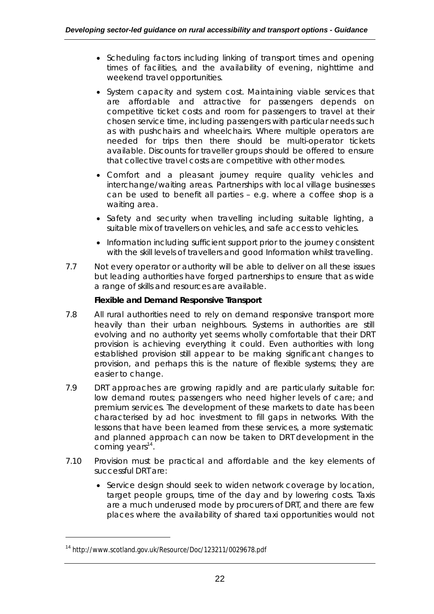- Scheduling factors including linking of transport times and opening times of facilities, and the availability of evening, nighttime and weekend travel opportunities.
- System capacity and system cost. Maintaining viable services that are affordable and attractive for passengers depends on competitive ticket costs and room for passengers to travel at their chosen service time, including passengers with particular needs such as with pushchairs and wheelchairs. Where multiple operators are needed for trips then there should be multi-operator tickets available. Discounts for traveller groups should be offered to ensure that collective travel costs are competitive with other modes.
- Comfort and a pleasant journey require quality vehicles and interchange/waiting areas. Partnerships with local village businesses can be used to benefit all parties – e.g. where a coffee shop is a waiting area.
- Safety and security when travelling including suitable lighting, a suitable mix of travellers on vehicles, and safe access to vehicles.
- Information including sufficient support prior to the journey consistent with the skill levels of travellers and good Information whilst travelling.
- 7.7 Not every operator or authority will be able to deliver on all these issues but leading authorities have forged partnerships to ensure that as wide a range of skills and resources are available.

## *Flexible and Demand Responsive Transport*

- 7.8 All rural authorities need to rely on demand responsive transport more heavily than their urban neighbours. Systems in authorities are still evolving and no authority yet seems wholly comfortable that their DRT provision is achieving everything it could. Even authorities with long established provision still appear to be making significant changes to provision, and perhaps this is the nature of flexible systems; they are easier to change.
- 7.9 DRT approaches are growing rapidly and are particularly suitable for: low demand routes; passengers who need higher levels of care; and premium services. The development of these markets to date has been characterised by ad hoc investment to fill gaps in networks. With the lessons that have been learned from these services, a more systematic and planned approach can now be taken to DRT development in the coming years<sup>14</sup>.
- 7.10 Provision must be practical and affordable and the key elements of successful DRT are:
	- Service design should seek to widen network coverage by location, target people groups, time of the day and by lowering costs. Taxis are a much underused mode by procurers of DRT, and there are few places where the availability of shared taxi opportunities would not

<sup>14</sup> http://www.scotland.gov.uk/Resource/Doc/123211/0029678.pdf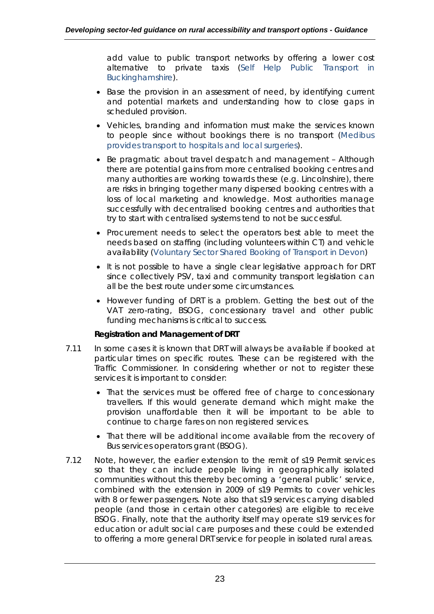add value to public transport networks by offering a lower cost alternative to private taxis (Self Help Public Transport in Buckinghamshire).

- Base the provision in an assessment of need, by identifying current and potential markets and understanding how to close gaps in scheduled provision.
- Vehicles, branding and information must make the services known to people since without bookings there is no transport (Medibus provides transport to hospitals and local surgeries).
- Be pragmatic about travel despatch and management Although there are potential gains from more centralised booking centres and many authorities are working towards these (e.g. Lincolnshire), there are risks in bringing together many dispersed booking centres with a loss of local marketing and knowledge. Most authorities manage successfully with decentralised booking centres and authorities that try to start with centralised systems tend to not be successful.
- Procurement needs to select the operators best able to meet the needs based on staffing (including volunteers within CT) and vehicle availability (Voluntary Sector Shared Booking of Transport in Devon)
- It is not possible to have a single clear legislative approach for DRT since collectively PSV, taxi and community transport legislation can all be the best route under some circumstances.
- However funding of DRT is a problem. Getting the best out of the VAT zero-rating, BSOG, concessionary travel and other public funding mechanisms is critical to success.

### *Registration and Management of DRT*

- 7.11 In some cases it is known that DRT will always be available if booked at particular times on specific routes. These can be registered with the Traffic Commissioner. In considering whether or not to register these services it is important to consider:
	- That the services must be offered free of charge to concessionary travellers. If this would generate demand which might make the provision unaffordable then it will be important to be able to continue to charge fares on non registered services.
	- That there will be additional income available from the recovery of Bus services operators grant (BSOG).
- 7.12 Note, however, the earlier extension to the remit of s19 Permit services so that they can include people living in geographically isolated communities without this thereby becoming a 'general public' service, combined with the extension in 2009 of s19 Permits to cover vehicles with 8 or fewer passengers. Note also that s19 services carrying disabled people (and those in certain other categories) are eligible to receive BSOG. Finally, note that the authority itself may operate s19 services for education or adult social care purposes and these could be extended to offering a more general DRT service for people in isolated rural areas.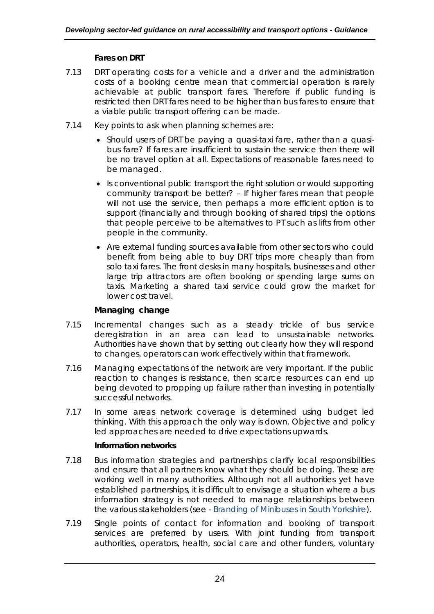## *Fares on DRT*

- 7.13 DRT operating costs for a vehicle and a driver and the administration costs of a booking centre mean that commercial operation is rarely achievable at public transport fares. Therefore if public funding is restricted then DRT fares need to be higher than bus fares to ensure that a viable public transport offering can be made.
- 7.14 Key points to ask when planning schemes are:
	- Should users of DRT be paying a quasi-taxi fare, rather than a quasibus fare? If fares are insufficient to sustain the service then there will be no travel option at all. Expectations of reasonable fares need to be managed.
	- Is conventional public transport the right solution or would supporting community transport be better? – If higher fares mean that people will not use the service, then perhaps a more efficient option is to support (financially and through booking of shared trips) the options that people perceive to be alternatives to PT such as lifts from other people in the community.
	- Are external funding sources available from other sectors who could benefit from being able to buy DRT trips more cheaply than from solo taxi fares. The front desks in many hospitals, businesses and other large trip attractors are often booking or spending large sums on taxis. Marketing a shared taxi service could grow the market for lower cost travel.

## *Managing change*

- 7.15 Incremental changes such as a steady trickle of bus service deregistration in an area can lead to unsustainable networks. Authorities have shown that by setting out clearly how they will respond to changes, operators can work effectively within that framework.
- 7.16 Managing expectations of the network are very important. If the public reaction to changes is resistance, then scarce resources can end up being devoted to propping up failure rather than investing in potentially successful networks.
- 7.17 In some areas network coverage is determined using budget led thinking. With this approach the only way is down. Objective and policy led approaches are needed to drive expectations upwards.

### *Information networks*

- 7.18 Bus information strategies and partnerships clarify local responsibilities and ensure that all partners know what they should be doing. These are working well in many authorities. Although not all authorities yet have established partnerships, it is difficult to envisage a situation where a bus information strategy is not needed to manage relationships between the various stakeholders (see - Branding of Minibuses in South Yorkshire).
- 7.19 Single points of contact for information and booking of transport services are preferred by users. With joint funding from transport authorities, operators, health, social care and other funders, voluntary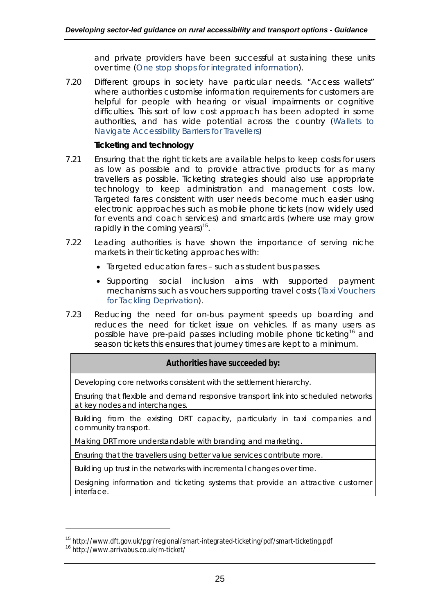and private providers have been successful at sustaining these units over time (One stop shops for integrated information).

7.20 Different groups in society have particular needs. "Access wallets" where authorities customise information requirements for customers are helpful for people with hearing or visual impairments or cognitive difficulties. This sort of low cost approach has been adopted in some authorities, and has wide potential across the country (Wallets to Navigate Accessibility Barriers for Travellers)

#### *Ticketing and technology*

- 7.21 Ensuring that the right tickets are available helps to keep costs for users as low as possible and to provide attractive products for as many travellers as possible. Ticketing strategies should also use appropriate technology to keep administration and management costs low. Targeted fares consistent with user needs become much easier using electronic approaches such as mobile phone tickets (now widely used for events and coach services) and smartcards (where use may grow rapidly in the coming years)<sup>15</sup>.
- 7.22 Leading authorities is have shown the importance of serving niche markets in their ticketing approaches with:
	- Targeted education fares such as student bus passes.
	- Supporting social inclusion aims with supported payment mechanisms such as vouchers supporting travel costs (Taxi Vouchers for Tackling Deprivation).
- 7.23 Reducing the need for on-bus payment speeds up boarding and reduces the need for ticket issue on vehicles. If as many users as possible have pre-paid passes including mobile phone ticketing<sup>16</sup> and season tickets this ensures that journey times are kept to a minimum.

#### **Authorities have succeeded by:**

Developing core networks consistent with the settlement hierarchy.

Ensuring that flexible and demand responsive transport link into scheduled networks at key nodes and interchanges.

Building from the existing DRT capacity, particularly in taxi companies and community transport.

Making DRT more understandable with branding and marketing.

Ensuring that the travellers using better value services contribute more.

Building up trust in the networks with incremental changes over time.

Designing information and ticketing systems that provide an attractive customer interface.

<sup>15</sup> http://www.dft.gov.uk/pgr/regional/smart-integrated-ticketing/pdf/smart-ticketing.pdf <sup>16</sup> http://www.arrivabus.co.uk/m-ticket/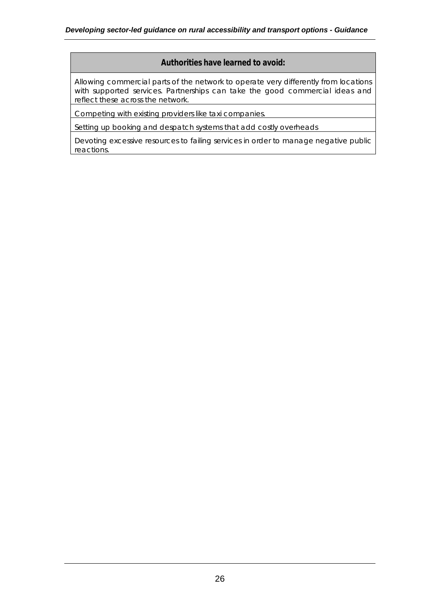### **Authorities have learned to avoid:**

Allowing commercial parts of the network to operate very differently from locations with supported services. Partnerships can take the good commercial ideas and reflect these across the network.

Competing with existing providers like taxi companies.

Setting up booking and despatch systems that add costly overheads

Devoting excessive resources to failing services in order to manage negative public reactions.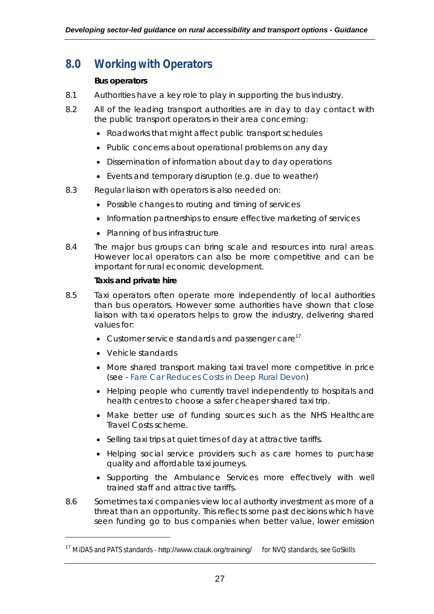## **8.0 Working with Operators**

### *Bus operators*

- 8.1 Authorities have a key role to play in supporting the bus industry.
- 8.2 All of the leading transport authorities are in day to day contact with the public transport operators in their area concerning:
	- Roadworks that might affect public transport schedules
	- Public concerns about operational problems on any day
	- Dissemination of information about day to day operations
	- Events and temporary disruption (e.g. due to weather)
- 8.3 Regular liaison with operators is also needed on:
	- Possible changes to routing and timing of services
	- Information partnerships to ensure effective marketing of services
	- Planning of bus infrastructure
- 8.4 The major bus groups can bring scale and resources into rural areas. However local operators can also be more competitive and can be important for rural economic development.

### *Taxis and private hire*

- 8.5 Taxi operators often operate more independently of local authorities than bus operators. However some authorities have shown that close liaison with taxi operators helps to grow the industry, delivering shared values for:
	- Customer service standards and passenger care<sup>17</sup>
	- Vehicle standards

- More shared transport making taxi travel more competitive in price (see - Fare Car Reduces Costs in Deep Rural Devon)
- Helping people who currently travel independently to hospitals and health centres to choose a safer cheaper shared taxi trip.
- Make better use of funding sources such as the NHS Healthcare Travel Costs scheme.
- Selling taxi trips at quiet times of day at attractive tariffs.
- Helping social service providers such as care homes to purchase quality and affordable taxi journeys.
- Supporting the Ambulance Services more effectively with well trained staff and attractive tariffs.
- 8.6 Sometimes taxi companies view local authority investment as more of a threat than an opportunity. This reflects some past decisions which have seen funding go to bus companies when better value, lower emission

 $17$  MiDAS and PATS standards - http://www.ctauk.org/training/ for NVQ standards, see GoSkills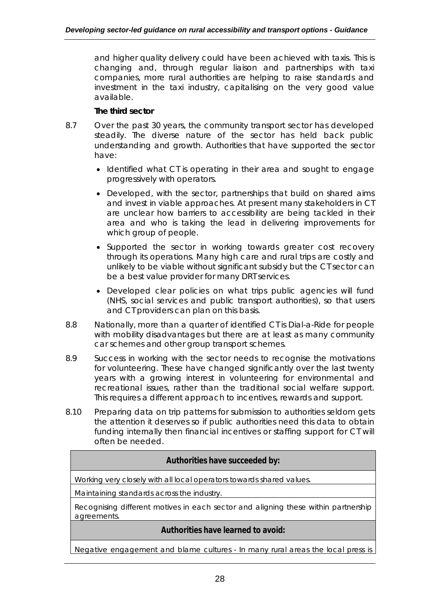and higher quality delivery could have been achieved with taxis. This is changing and, through regular liaison and partnerships with taxi companies, more rural authorities are helping to raise standards and investment in the taxi industry, capitalising on the very good value available.

## *The third sector*

- 8.7 Over the past 30 years, the community transport sector has developed steadily. The diverse nature of the sector has held back public understanding and growth. Authorities that have supported the sector have:
	- Identified what CT is operating in their area and sought to engage progressively with operators.
	- Developed, with the sector, partnerships that build on shared aims and invest in viable approaches. At present many stakeholders in CT are unclear how barriers to accessibility are being tackled in their area and who is taking the lead in delivering improvements for which group of people.
	- Supported the sector in working towards greater cost recovery through its operations. Many high care and rural trips are costly and unlikely to be viable without significant subsidy but the CT sector can be a best value provider for many DRT services.
	- Developed clear policies on what trips public agencies will fund (NHS, social services and public transport authorities), so that users and CT providers can plan on this basis.
- 8.8 Nationally, more than a quarter of identified CT is Dial-a-Ride for people with mobility disadvantages but there are at least as many community car schemes and other group transport schemes.
- 8.9 Success in working with the sector needs to recognise the motivations for volunteering. These have changed significantly over the last twenty years with a growing interest in volunteering for environmental and recreational issues, rather than the traditional social welfare support. This requires a different approach to incentives, rewards and support.
- 8.10 Preparing data on trip patterns for submission to authorities seldom gets the attention it deserves so if public authorities need this data to obtain funding internally then financial incentives or staffing support for CT will often be needed.

## **Authorities have succeeded by:**

Working very closely with all local operators towards shared values.

Maintaining standards across the industry.

Recognising different motives in each sector and aligning these within partnership agreements.

## **Authorities have learned to avoid:**

Negative engagement and blame cultures - In many rural areas the local press is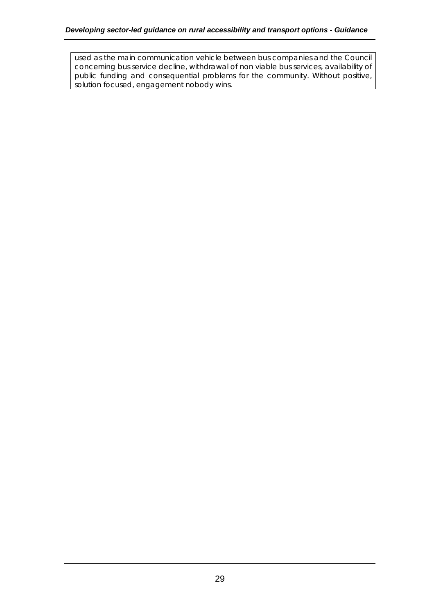used as the main communication vehicle between bus companies and the Council concerning bus service decline, withdrawal of non viable bus services, availability of public funding and consequential problems for the community. Without positive, solution focused, engagement nobody wins.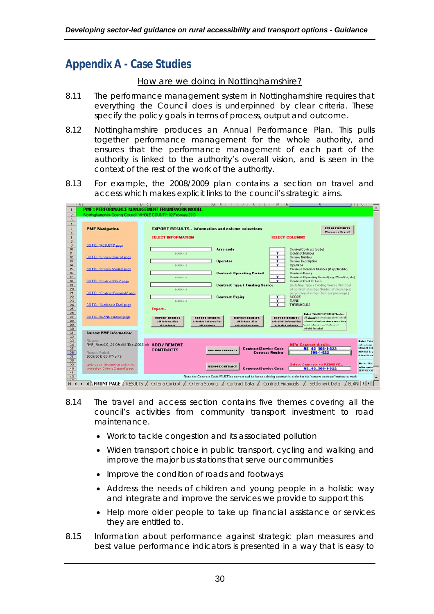## **Appendix A - Case Studies**

#### *How are we doing in Nottinghamshire?*

- 8.11 The performance management system in Nottinghamshire requires that everything the Council does is underpinned by clear criteria. These specify the policy goals in terms of process, output and outcome.
- 8.12 Nottinghamshire produces an Annual Performance Plan. This pulls together performance management for the whole authority, and ensures that the performance management of each part of the authority is linked to the authority's overall vision, and is seen in the context of the rest of the work of the authority.
- 8.13 For example, the 2008/2009 plan contains a section on travel and access which makes explicit links to the council's strategic aims.

|                                   | A. |                                                                 | $U$ $E$<br>M.<br> IV <br>$\blacksquare$<br><b>L</b>                                                                                                                         |
|-----------------------------------|----|-----------------------------------------------------------------|-----------------------------------------------------------------------------------------------------------------------------------------------------------------------------|
| $\mathbf{1}$                      |    |                                                                 | <b>PMF: PERFORMANCE MANAGEMENT FRAMEWORK MODEL</b>                                                                                                                          |
| $\overline{2}$                    |    | Nottinghamshire Counts Council: VHOLE COUNTY: 02 Februars 2010. |                                                                                                                                                                             |
| 3                                 |    |                                                                 |                                                                                                                                                                             |
| $\mathbf{A}$                      |    |                                                                 |                                                                                                                                                                             |
| 5                                 |    | <b>PMF Navigation</b>                                           | <b>EXPORT RESULTS</b><br><b>EXPORT RESULTS - information and column selections</b><br>Hanager's Report                                                                      |
| 6                                 |    |                                                                 |                                                                                                                                                                             |
| $\overline{7}$                    |    |                                                                 | <b>SELECT INFORMATION</b><br><b>SELECT COLUMNS</b>                                                                                                                          |
| $\mathbf{\hat{S}}$<br>$\mathbb S$ |    | GOTO 'RESULTS' page                                             |                                                                                                                                                                             |
| $\overline{10}$                   |    |                                                                 | Area code<br>Service/Contract (code)                                                                                                                                        |
| $\mathsf{I}$                      |    |                                                                 | <b>Contract Number</b><br>Y<br><b>DIANK-JE</b>                                                                                                                              |
| $\overline{12}$                   |    | GOTO 'Driteria Control' page                                    | Y<br>Service Number                                                                                                                                                         |
| $\overline{13}$                   |    |                                                                 | ۳<br><b>Service Description</b><br><b>Operator</b>                                                                                                                          |
| 4 <br>15 <sup>5</sup>             |    |                                                                 | r<br>Operator<br><b>PLANK-JI</b><br>Previous Contract Number (if applicable)                                                                                                |
| 16                                |    | GOTO 'Driteria Scoting' page                                    | <b>Contract Operating Period</b><br>Contract Expiry                                                                                                                         |
| 17                                |    |                                                                 | Y<br>Contract Operating Period [e.g. Mos-Sat, stc]<br>$DLMHE = 2E$                                                                                                          |
| $\overline{18}$                   |    | GOTO., 'Costract Dala' page                                     | Y<br>Contract Cost Critoria                                                                                                                                                 |
| $\overline{13}$                   |    |                                                                 | <b>fincluding: Tups / Funding Source, Nst Cost</b><br><b>Contract Type / Funding Source</b>                                                                                 |
| 20                                |    |                                                                 | of costract. Average Number of passengers<br><b>DLAHK-JE</b>                                                                                                                |
| 21<br>22                          |    | GOTO 'Costract Financials' page                                 | per journey, Average Cost per passenger)<br><b>Contract Expire</b><br><b>SCORE</b>                                                                                          |
| 23                                |    |                                                                 | <b>BANK</b><br><b>PLANK-JI</b>                                                                                                                                              |
| 24                                |    | GOTO 'Settlement Date' page                                     | <b>THRESHOLDS</b>                                                                                                                                                           |
| 25                                |    |                                                                 | Export_                                                                                                                                                                     |
| 26                                |    |                                                                 | Ballet This EDPORT RESULTS author                                                                                                                                           |
| 27                                |    | GOTO DLANK contract page                                        | <b>EXPORT RESILTS</b><br><b>EXPART RESELTS</b><br>uil absentivelebration of the "odeal<br><b>EXPART RESOLTS</b><br><b>EIPORT RESULTS</b>                                    |
| 28<br>29                          |    |                                                                 | information has been absent, sore-eiting<br>all information<br>actested information<br>all information<br>retrated information<br>factor of coloradic control and coloradi- |
| 30                                |    |                                                                 | di colonne<br>$-11 - 10 - 10$<br>actualed automon<br>artrated astonom<br>arkalel facashal                                                                                   |
| 31                                |    | <b>Current PMF</b> information:                                 |                                                                                                                                                                             |
| 32                                |    |                                                                 |                                                                                                                                                                             |
| 33                                |    | Filesome:                                                       | Bullet Third                                                                                                                                                                |
| 34                                |    | PMF_NottsCC_2010Jan08 (Escel2003).xls ADD / REMOVE              | <b>NEW Contract details</b><br>aplica abaaqoo<br>SERVICE C4D<br><b>NS 40 508-1-822</b><br><b>Contract/Service Code</b>                                                      |
| $\frac{35}{36}$                   |    | Financial Period:                                               | <b>CONTRACTS</b><br><b>I HEW CONTRA</b><br>HUHPEY L.<br><b>Contract Number</b><br>$503 - 1 - 822$                                                                           |
|                                   |    | 2009/2010 03: P7to P3                                           | <b>Olders Channels</b>                                                                                                                                                      |
| 38                                |    |                                                                 |                                                                                                                                                                             |
| 55                                |    | up date year information and select                             | $H = I = 7$ Third<br><b>Select Contract to REMOYE.</b><br><b>REHOTE CONTRACT</b><br>opline require                                                                          |
| 40                                |    | period on 'Critaria Control' page                               | N8 40 508-1-822<br>Contract/Scrvice Code<br>SERVICE CHE                                                                                                                     |
| $+1$<br>12                        |    |                                                                 | Note the Contract Code MUST be correct and be for an existing contract in order for the 'remove contract' button to work                                                    |
| 42 <sup>o</sup>                   |    |                                                                 |                                                                                                                                                                             |
| $H$ 4                             |    |                                                                 | M R FRONT PAGE (RESULTS / Criteria Control / Criteria Scoring /<br>Settlement Data<br><b>BLANII</b><br>Contract Data /<br>Contract Financials                               |
|                                   |    |                                                                 |                                                                                                                                                                             |

- 8.14 The travel and access section contains five themes covering all the council's activities from community transport investment to road maintenance.
	- Work to tackle congestion and its associated pollution
	- Widen transport choice in public transport, cycling and walking and improve the major bus stations that serve our communities
	- Improve the condition of roads and footways
	- Address the needs of children and young people in a holistic way and integrate and improve the services we provide to support this
	- Help more older people to take up financial assistance or services they are entitled to.
- 8.15 Information about performance against strategic plan measures and best value performance indicators is presented in a way that is easy to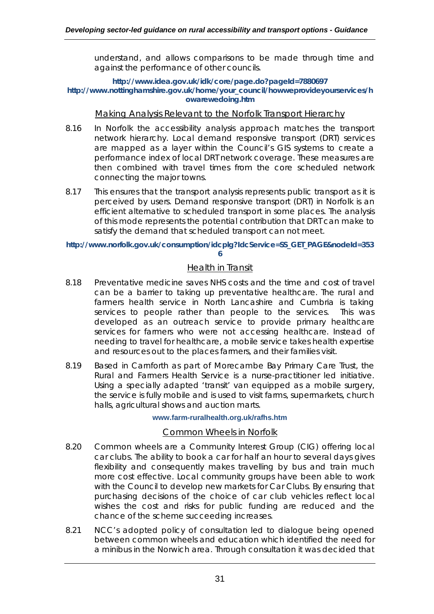understand, and allows comparisons to be made through time and against the performance of other councils.

#### **http://www.idea.gov.uk/idk/core/page.do?pageId=7880697 http://www.nottinghamshire.gov.uk/home/your\_council/howweprovideyourservices/h owarewedoing.htm**

#### *Making Analysis Relevant to the Norfolk Transport Hierarchy*

- 8.16 In Norfolk the accessibility analysis approach matches the transport network hierarchy. Local demand responsive transport (DRT) services are mapped as a layer within the Council's GIS systems to create a performance index of local DRT network coverage. These measures are then combined with travel times from the core scheduled network connecting the major towns.
- 8.17 This ensures that the transport analysis represents public transport as it is perceived by users. Demand responsive transport (DRT) in Norfolk is an efficient alternative to scheduled transport in some places. The analysis of this mode represents the potential contribution that DRT can make to satisfy the demand that scheduled transport can not meet.

**http://www.norfolk.gov.uk/consumption/idcplg?IdcService=SS\_GET\_PAGE&nodeId=353 6**

## *Health in Transit*

- 8.18 Preventative medicine saves NHS costs and the time and cost of travel can be a barrier to taking up preventative healthcare. The rural and farmers health service in North Lancashire and Cumbria is taking services to people rather than people to the services. This was developed as an outreach service to provide primary healthcare services for farmers who were not accessing healthcare. Instead of needing to travel for healthcare, a mobile service takes health expertise and resources out to the places farmers, and their families visit.
- 8.19 Based in Carnforth as part of Morecambe Bay Primary Care Trust, the Rural and Farmers Health Service is a nurse-practitioner led initiative. Using a specially adapted 'transit' van equipped as a mobile surgery, the service is fully mobile and is used to visit farms, supermarkets, church halls, agricultural shows and auction marts.

#### **www.farm-ruralhealth.org.uk/rafhs.htm**

### *Common Wheels in Norfolk*

- 8.20 Common wheels are a Community Interest Group (CIG) offering local car clubs. The ability to book a car for half an hour to several days gives flexibility and consequently makes travelling by bus and train much more cost effective. Local community groups have been able to work with the Council to develop new markets for Car Clubs. By ensuring that purchasing decisions of the choice of car club vehicles reflect local wishes the cost and risks for public funding are reduced and the chance of the scheme succeeding increases.
- 8.21 NCC's adopted policy of consultation led to dialogue being opened between common wheels and education which identified the need for a minibus in the Norwich area. Through consultation it was decided that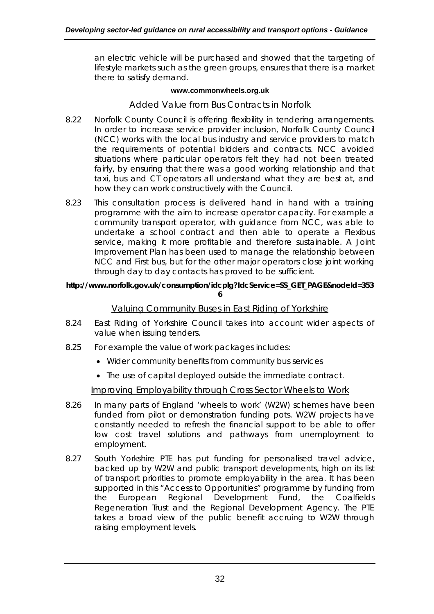an electric vehicle will be purchased and showed that the targeting of lifestyle markets such as the green groups, ensures that there is a market there to satisfy demand.

#### **www.commonwheels.org.uk**

## *Added Value from Bus Contracts in Norfolk*

- 8.22 Norfolk County Council is offering flexibility in tendering arrangements. In order to increase service provider inclusion, Norfolk County Council (NCC) works with the local bus industry and service providers to match the requirements of potential bidders and contracts. NCC avoided situations where particular operators felt they had not been treated fairly, by ensuring that there was a good working relationship and that taxi, bus and CT operators all understand what they are best at, and how they can work constructively with the Council.
- 8.23 This consultation process is delivered hand in hand with a training programme with the aim to increase operator capacity. For example a community transport operator, with guidance from NCC, was able to undertake a school contract and then able to operate a Flexibus service, making it more profitable and therefore sustainable. A Joint Improvement Plan has been used to manage the relationship between NCC and First bus, but for the other major operators close joint working through day to day contacts has proved to be sufficient.

#### **http://www.norfolk.gov.uk/consumption/idcplg?IdcService=SS\_GET\_PAGE&nodeId=353 6**

### *Valuing Community Buses in East Riding of Yorkshire*

- 8.24 East Riding of Yorkshire Council takes into account wider aspects of value when issuing tenders.
- 8.25 For example the value of work packages includes:
	- Wider community benefits from community bus services
	- The use of capital deployed outside the immediate contract.

### *Improving Employability through Cross Sector Wheels to Work*

- 8.26 In many parts of England 'wheels to work' (W2W) schemes have been funded from pilot or demonstration funding pots. W2W projects have constantly needed to refresh the financial support to be able to offer low cost travel solutions and pathways from unemployment to employment.
- 8.27 South Yorkshire PTE has put funding for personalised travel advice, backed up by W2W and public transport developments, high on its list of transport priorities to promote employability in the area. It has been supported in this "Access to Opportunities" programme by funding from the European Regional Development Fund, the Coalfields Regeneration Trust and the Regional Development Agency. The PTE takes a broad view of the public benefit accruing to W2W through raising employment levels.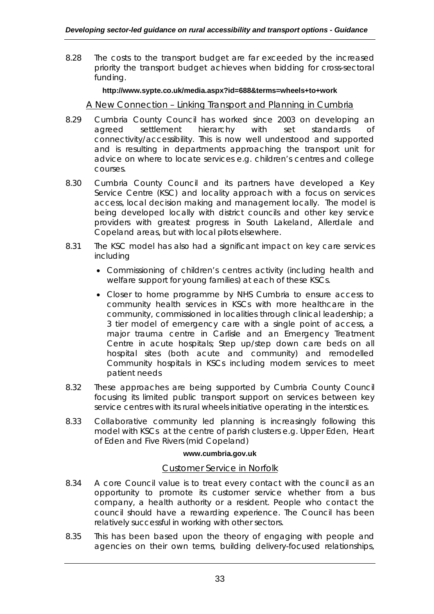8.28 The costs to the transport budget are far exceeded by the increased priority the transport budget achieves when bidding for cross-sectoral funding.

#### **http://www.sypte.co.uk/media.aspx?id=688&terms=wheels+to+work**

### *A New Connection – Linking Transport and Planning in Cumbria*

- 8.29 Cumbria County Council has worked since 2003 on developing an agreed settlement hierarchy with set standards of connectivity/accessibility. This is now well understood and supported and is resulting in departments approaching the transport unit for advice on where to locate services e.g. children's centres and college courses.
- 8.30 Cumbria County Council and its partners have developed a Key Service Centre (KSC) and locality approach with a focus on services access, local decision making and management locally. The model is being developed locally with district councils and other key service providers with greatest progress in South Lakeland, Allerdale and Copeland areas, but with local pilots elsewhere.
- 8.31 The KSC model has also had a significant impact on key care services including
	- Commissioning of children's centres activity (including health and welfare support for young families) at each of these KSCs.
	- Closer to home programme by NHS Cumbria to ensure access to community health services in KSCs with more healthcare in the community, commissioned in localities through clinical leadership; a 3 tier model of emergency care with a single point of access, a major trauma centre in Carlisle and an Emergency Treatment Centre in acute hospitals; Step up/step down care beds on all hospital sites (both acute and community) and remodelled Community hospitals in KSCs including modern services to meet patient needs
- 8.32 These approaches are being supported by Cumbria County Council focusing its limited public transport support on services between key service centres with its rural wheels initiative operating in the interstices.
- 8.33 Collaborative community led planning is increasingly following this model with KSCs at the centre of parish clusters e.g. Upper Eden, Heart of Eden and Five Rivers (mid Copeland)

#### **www.cumbria.gov.uk**

### *Customer Service in Norfolk*

- 8.34 A core Council value is to treat every contact with the council as an opportunity to promote its customer service whether from a bus company, a health authority or a resident. People who contact the council should have a rewarding experience. The Council has been relatively successful in working with other sectors.
- 8.35 This has been based upon the theory of engaging with people and agencies on their own terms, building delivery-focused relationships,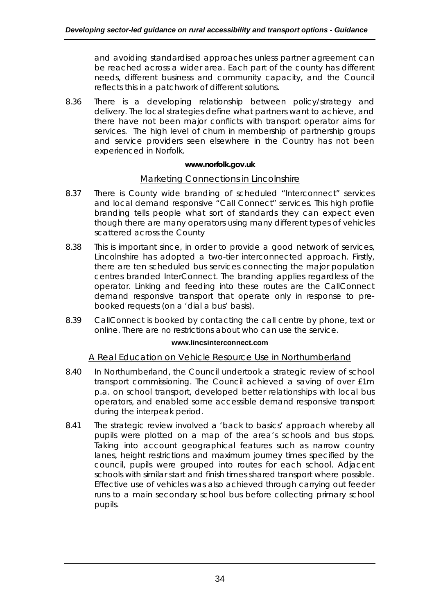and avoiding standardised approaches unless partner agreement can be reached across a wider area. Each part of the county has different needs, different business and community capacity, and the Council reflects this in a patchwork of different solutions.

8.36 There is a developing relationship between policy/strategy and delivery. The local strategies define what partners want to achieve, and there have not been major conflicts with transport operator aims for services. The high level of churn in membership of partnership groups and service providers seen elsewhere in the Country has not been experienced in Norfolk.

### **www.norfolk.gov.uk**

## *Marketing Connections in Lincolnshire*

- 8.37 There is County wide branding of scheduled "Interconnect" services and local demand responsive "Call Connect" services. This high profile branding tells people what sort of standards they can expect even though there are many operators using many different types of vehicles scattered across the County
- 8.38 This is important since, in order to provide a good network of services, Lincolnshire has adopted a two-tier interconnected approach. Firstly, there are ten scheduled bus services connecting the major population centres branded InterConnect. The branding applies regardless of the operator. Linking and feeding into these routes are the CallConnect demand responsive transport that operate only in response to prebooked requests (on a 'dial a bus' basis).
- 8.39 CallConnect is booked by contacting the call centre by phone, text or online. There are no restrictions about who can use the service.

#### **www.lincsinterconnect.com**

### *A Real Education on Vehicle Resource Use in Northumberland*

- 8.40 In Northumberland, the Council undertook a strategic review of school transport commissioning. The Council achieved a saving of over £1m p.a. on school transport, developed better relationships with local bus operators, and enabled some accessible demand responsive transport during the interpeak period.
- 8.41 The strategic review involved a 'back to basics' approach whereby all pupils were plotted on a map of the area's schools and bus stops. Taking into account geographical features such as narrow country lanes, height restrictions and maximum journey times specified by the council, pupils were grouped into routes for each school. Adjacent schools with similar start and finish times shared transport where possible. Effective use of vehicles was also achieved through carrying out feeder runs to a main secondary school bus before collecting primary school pupils.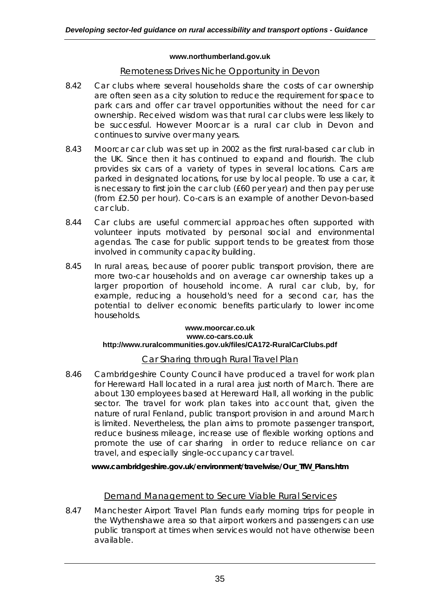#### **www.northumberland.gov.uk**

## *Remoteness Drives Niche Opportunity in Devon*

- 8.42 Car clubs where several households share the costs of car ownership are often seen as a city solution to reduce the requirement for space to park cars and offer car travel opportunities without the need for car ownership. Received wisdom was that rural car clubs were less likely to be successful. However Moorcar is a rural car club in Devon and continues to survive over many years.
- 8.43 Moorcar car club was set up in 2002 as the first rural-based car club in the UK. Since then it has continued to expand and flourish. The club provides six cars of a variety of types in several locations. Cars are parked in designated locations, for use by local people. To use a car, it is necessary to first join the car club (£60 per year) and then pay per use (from £2.50 per hour). Co-cars is an example of another Devon-based car club.
- 8.44 Car clubs are useful commercial approaches often supported with volunteer inputs motivated by personal social and environmental agendas. The case for public support tends to be greatest from those involved in community capacity building.
- 8.45 In rural areas, because of poorer public transport provision, there are more two-car households and on average car ownership takes up a larger proportion of household income. A rural car club, by, for example, reducing a household's need for a second car, has the potential to deliver economic benefits particularly to lower income households.

#### **www.moorcar.co.uk www.co-cars.co.uk http://www.ruralcommunities.gov.uk/files/CA172-RuralCarClubs.pdf**

## *Car Sharing through Rural Travel Plan*

8.46 Cambridgeshire County Council have produced a travel for work plan for Hereward Hall located in a rural area just north of March. There are about 130 employees based at Hereward Hall, all working in the public sector. The travel for work plan takes into account that, given the nature of rural Fenland, public transport provision in and around March is limited. Nevertheless, the plan aims to promote passenger transport, reduce business mileage, increase use of flexible working options and promote the use of car sharing in order to reduce reliance on car travel, and especially single-occupancy car travel.

### **www.cambridgeshire.gov.uk/environment/travelwise/Our\_TfW\_Plans.htm**

## *Demand Management to Secure Viable Rural Services*

8.47 Manchester Airport Travel Plan funds early morning trips for people in the Wythenshawe area so that airport workers and passengers can use public transport at times when services would not have otherwise been available.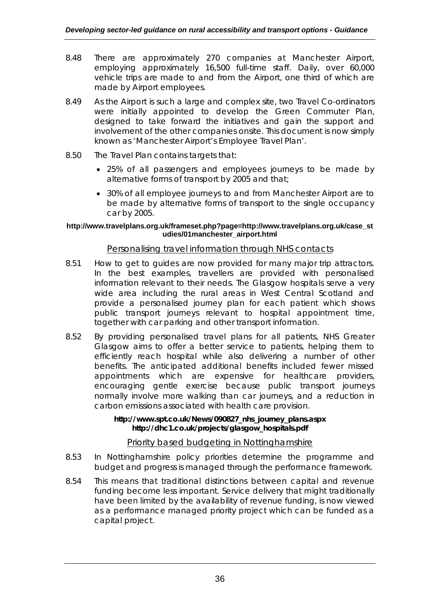- 8.48 There are approximately 270 companies at Manchester Airport, employing approximately 16,500 full-time staff. Daily, over 60,000 vehicle trips are made to and from the Airport, one third of which are made by Airport employees.
- 8.49 As the Airport is such a large and complex site, two Travel Co-ordinators were initially appointed to develop the Green Commuter Plan, designed to take forward the initiatives and gain the support and involvement of the other companies onsite. This document is now simply known as 'Manchester Airport's Employee Travel Plan'.
- 8.50 The Travel Plan contains targets that:
	- 25% of all passengers and employees journeys to be made by alternative forms of transport by 2005 and that;
	- 30% of all employee journeys to and from Manchester Airport are to be made by alternative forms of transport to the single occupancy car by 2005.

#### **http://www.travelplans.org.uk/frameset.php?page=http://www.travelplans.org.uk/case\_st udies/01manchester\_airport.html**

## *Personalising travel information through NHS contacts*

- 8.51 How to get to guides are now provided for many major trip attractors. In the best examples, travellers are provided with personalised information relevant to their needs. The Glasgow hospitals serve a very wide area including the rural areas in West Central Scotland and provide a personalised journey plan for each patient which shows public transport journeys relevant to hospital appointment time, together with car parking and other transport information.
- 8.52 By providing personalised travel plans for all patients, NHS Greater Glasgow aims to offer a better service to patients, helping them to efficiently reach hospital while also delivering a number of other benefits. The anticipated additional benefits included fewer missed appointments which are expensive for healthcare providers, encouraging gentle exercise because public transport journeys normally involve more walking than car journeys, and a reduction in carbon emissions associated with health care provision.

#### **http://www.spt.co.uk/News/090827\_nhs\_journey\_plans.aspx http://dhc1.co.uk/projects/glasgow\_hospitals.pdf**

## *Priority based budgeting in Nottinghamshire*

- 8.53 In Nottinghamshire policy priorities determine the programme and budget and progress is managed through the performance framework.
- 8.54 This means that traditional distinctions between capital and revenue funding become less important. Service delivery that might traditionally have been limited by the availability of revenue funding, is now viewed as a performance managed priority project which can be funded as a capital project.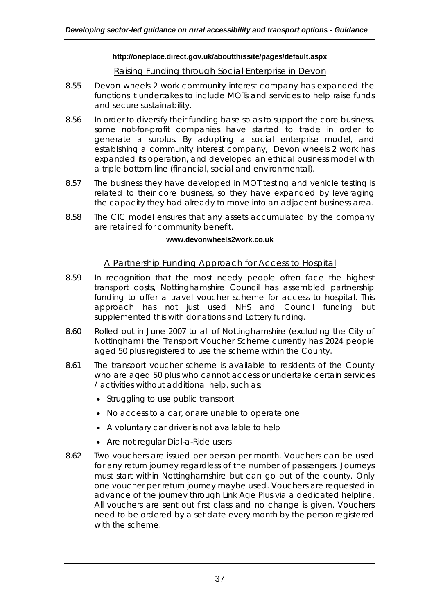#### **http://oneplace.direct.gov.uk/aboutthissite/pages/default.aspx**

## *Raising Funding through Social Enterprise in Devon*

- 8.55 Devon wheels 2 work community interest company has expanded the functions it undertakes to include MOTs and services to help raise funds and secure sustainability.
- 8.56 In order to diversify their funding base so as to support the core business, some not-for-profit companies have started to trade in order to generate a surplus. By adopting a social enterprise model, and establshing a community interest company, Devon wheels 2 work has expanded its operation, and developed an ethical business model with a triple bottom line (financial, social and environmental).
- 8.57 The business they have developed in MOT testing and vehicle testing is related to their core business, so they have expanded by leveraging the capacity they had already to move into an adjacent business area.
- 8.58 The CIC model ensures that any assets accumulated by the company are retained for community benefit.

#### **www.devonwheels2work.co.uk**

### *A Partnership Funding Approach for Access to Hospital*

- 8.59 In recognition that the most needy people often face the highest transport costs, Nottinghamshire Council has assembled partnership funding to offer a travel voucher scheme for access to hospital. This approach has not just used NHS and Council funding but supplemented this with donations and Lottery funding.
- 8.60 Rolled out in June 2007 to all of Nottinghamshire (excluding the City of Nottingham) the Transport Voucher Scheme currently has 2024 people aged 50 plus registered to use the scheme within the County.
- 8.61 The transport voucher scheme is available to residents of the County who are aged 50 plus who cannot access or undertake certain services / activities without additional help, such as:
	- Struggling to use public transport
	- No access to a car, or are unable to operate one
	- A voluntary car driver is not available to help
	- Are not regular Dial-a-Ride users
- 8.62 Two vouchers are issued per person per month. Vouchers can be used for any return journey regardless of the number of passengers. Journeys must start within Nottinghamshire but can go out of the county. Only one voucher per return journey maybe used. Vouchers are requested in advance of the journey through Link Age Plus via a dedicated helpline. All vouchers are sent out first class and no change is given. Vouchers need to be ordered by a set date every month by the person registered with the scheme.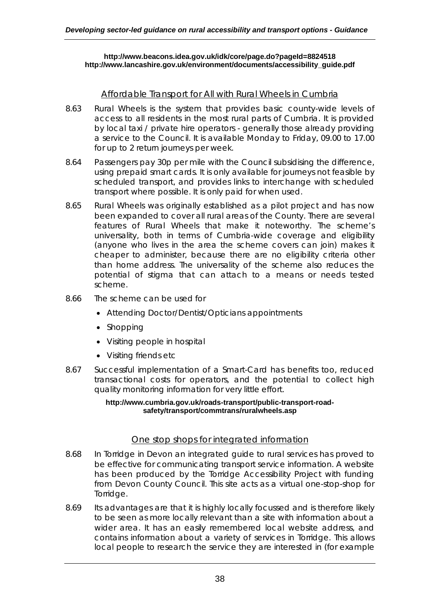#### **http://www.beacons.idea.gov.uk/idk/core/page.do?pageId=8824518 http://www.lancashire.gov.uk/environment/documents/accessibility\_guide.pdf**

## *Affordable Transport for All with Rural Wheels in Cumbria*

- 8.63 Rural Wheels is the system that provides basic county-wide levels of access to all residents in the most rural parts of Cumbria. It is provided by local taxi / private hire operators - generally those already providing a service to the Council. It is available Monday to Friday, 09.00 to 17.00 for up to 2 return journeys per week.
- 8.64 Passengers pay 30p per mile with the Council subsidising the difference, using prepaid smart cards. It is only available for journeys not feasible by scheduled transport, and provides links to interchange with scheduled transport where possible. It is only paid for when used.
- 8.65 Rural Wheels was originally established as a pilot project and has now been expanded to cover all rural areas of the County. There are several features of Rural Wheels that make it noteworthy. The scheme's universality, both in terms of Cumbria-wide coverage and eligibility (anyone who lives in the area the scheme covers can join) makes it cheaper to administer, because there are no eligibility criteria other than home address. The universality of the scheme also reduces the potential of stigma that can attach to a means or needs tested scheme.
- 8.66 The scheme can be used for
	- Attending Doctor/Dentist/Opticians appointments
	- Shopping
	- Visiting people in hospital
	- Visiting friends etc
- 8.67 Successful implementation of a Smart-Card has benefits too, reduced transactional costs for operators, and the potential to collect high quality monitoring information for very little effort.

#### **http://www.cumbria.gov.uk/roads-transport/public-transport-roadsafety/transport/commtrans/ruralwheels.asp**

### *One stop shops for integrated information*

- 8.68 In Torridge in Devon an integrated guide to rural services has proved to be effective for communicating transport service information. A website has been produced by the Torridge Accessibility Project with funding from Devon County Council. This site acts as a virtual one-stop-shop for Torridge.
- 8.69 Its advantages are that it is highly locally focussed and is therefore likely to be seen as more locally relevant than a site with information about a wider area. It has an easily remembered local website address, and contains information about a variety of services in Torridge. This allows local people to research the service they are interested in (for example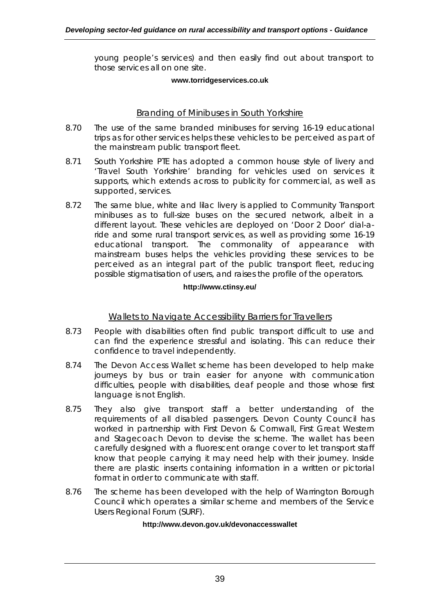young people's services) and then easily find out about transport to those services all on one site.

#### **www.torridgeservices.co.uk**

## *Branding of Minibuses in South Yorkshire*

- 8.70 The use of the same branded minibuses for serving 16-19 educational trips as for other services helps these vehicles to be perceived as part of the mainstream public transport fleet.
- 8.71 South Yorkshire PTE has adopted a common house style of livery and 'Travel South Yorkshire' branding for vehicles used on services it supports, which extends across to publicity for commercial, as well as supported, services.
- 8.72 The same blue, white and lilac livery is applied to Community Transport minibuses as to full-size buses on the secured network, albeit in a different layout. These vehicles are deployed on 'Door 2 Door' dial-aride and some rural transport services, as well as providing some 16-19 educational transport. The commonality of appearance with mainstream buses helps the vehicles providing these services to be perceived as an integral part of the public transport fleet, reducing possible stigmatisation of users, and raises the profile of the operators.

#### **http://www.ctinsy.eu/**

## *Wallets to Navigate Accessibility Barriers for Travellers*

- 8.73 People with disabilities often find public transport difficult to use and can find the experience stressful and isolating. This can reduce their confidence to travel independently.
- 8.74 The Devon Access Wallet scheme has been developed to help make journeys by bus or train easier for anyone with communication difficulties, people with disabilities, deaf people and those whose first language is not English.
- 8.75 They also give transport staff a better understanding of the requirements of all disabled passengers. Devon County Council has worked in partnership with First Devon & Cornwall, First Great Western and Stagecoach Devon to devise the scheme. The wallet has been carefully designed with a fluorescent orange cover to let transport staff know that people carrying it may need help with their journey. Inside there are plastic inserts containing information in a written or pictorial format in order to communicate with staff.
- 8.76 The scheme has been developed with the help of Warrington Borough Council which operates a similar scheme and members of the Service Users Regional Forum (SURF).

#### **http://www.devon.gov.uk/devonaccesswallet**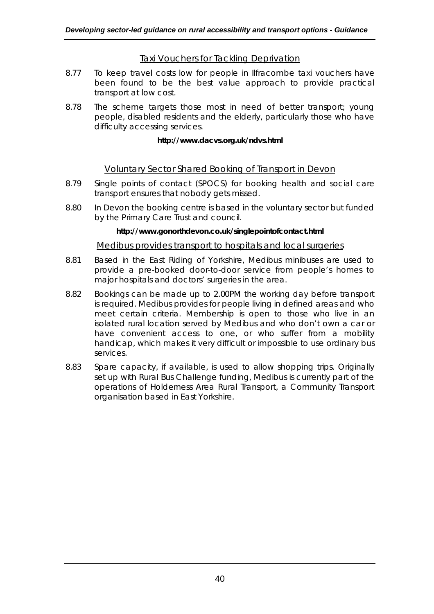## *Taxi Vouchers for Tackling Deprivation*

- 8.77 To keep travel costs low for people in Ilfracombe taxi vouchers have been found to be the best value approach to provide practical transport at low cost.
- 8.78 The scheme targets those most in need of better transport; young people, disabled residents and the elderly, particularly those who have difficulty accessing services.

#### **http://www.dacvs.org.uk/ndvs.html**

## *Voluntary Sector Shared Booking of Transport in Devon*

- 8.79 Single points of contact (SPOCS) for booking health and social care transport ensures that nobody gets missed.
- 8.80 In Devon the booking centre is based in the voluntary sector but funded by the Primary Care Trust and council.

#### **http://www.gonorthdevon.co.uk/singlepointofcontact.html**

### *Medibus provides transport to hospitals and local surgeries*

- 8.81 Based in the East Riding of Yorkshire, Medibus minibuses are used to provide a pre-booked door-to-door service from people's homes to major hospitals and doctors' surgeries in the area.
- 8.82 Bookings can be made up to 2.00PM the working day before transport is required. Medibus provides for people living in defined areas and who meet certain criteria. Membership is open to those who live in an isolated rural location served by Medibus and who don't own a car or have convenient access to one, or who suffer from a mobility handicap, which makes it very difficult or impossible to use ordinary bus services.
- 8.83 Spare capacity, if available, is used to allow shopping trips. Originally set up with Rural Bus Challenge funding, Medibus is currently part of the operations of Holderness Area Rural Transport, a Community Transport organisation based in East Yorkshire.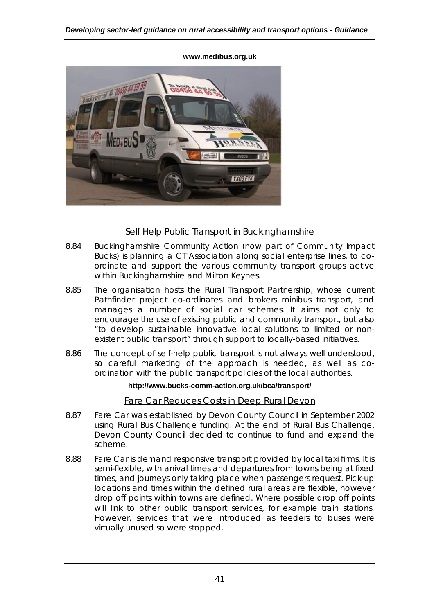

#### **www.medibus.org.uk**

## *Self Help Public Transport in Buckinghamshire*

- 8.84 Buckinghamshire Community Action (now part of Community Impact Bucks) is planning a CT Association along social enterprise lines, to coordinate and support the various community transport groups active within Buckinghamshire and Milton Keynes.
- 8.85 The organisation hosts the Rural Transport Partnership, whose current Pathfinder project co-ordinates and brokers minibus transport, and manages a number of social car schemes. It aims not only to encourage the use of existing public and community transport, but also "to develop sustainable innovative local solutions to limited or nonexistent public transport" through support to locally-based initiatives.
- 8.86 The concept of self-help public transport is not always well understood, so careful marketing of the approach is needed, as well as coordination with the public transport policies of the local authorities.

#### **http://www.bucks-comm-action.org.uk/bca/transport/**

## *Fare Car Reduces Costs in Deep Rural Devon*

- 8.87 Fare Car was established by Devon County Council in September 2002 using Rural Bus Challenge funding. At the end of Rural Bus Challenge, Devon County Council decided to continue to fund and expand the scheme.
- 8.88 Fare Car is demand responsive transport provided by local taxi firms. It is semi-flexible, with arrival times and departures from towns being at fixed times, and journeys only taking place when passengers request. Pick-up locations and times within the defined rural areas are flexible, however drop off points within towns are defined. Where possible drop off points will link to other public transport services, for example train stations. However, services that were introduced as feeders to buses were virtually unused so were stopped.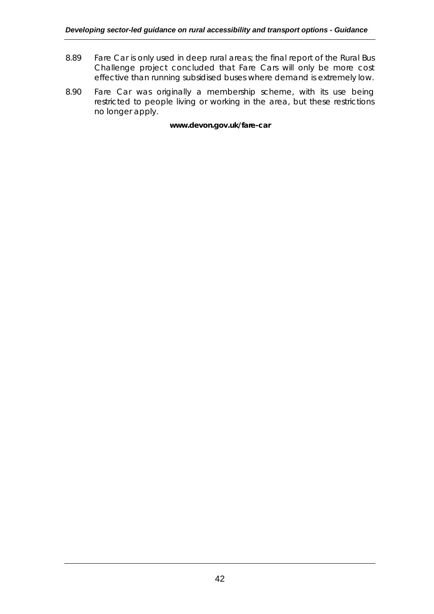- 8.89 Fare Car is only used in deep rural areas; the final report of the Rural Bus Challenge project concluded that Fare Cars will only be more cost effective than running subsidised buses where demand is extremely low.
- 8.90 Fare Car was originally a membership scheme, with its use being restricted to people living or working in the area, but these restrictions no longer apply.

#### **www.devon.gov.uk/fare-car**